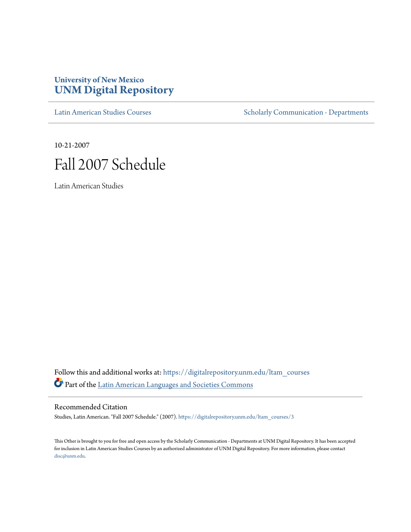# **University of New Mexico [UNM Digital Repository](https://digitalrepository.unm.edu?utm_source=digitalrepository.unm.edu%2Fltam_courses%2F3&utm_medium=PDF&utm_campaign=PDFCoverPages)**

[Latin American Studies Courses](https://digitalrepository.unm.edu/ltam_courses?utm_source=digitalrepository.unm.edu%2Fltam_courses%2F3&utm_medium=PDF&utm_campaign=PDFCoverPages) [Scholarly Communication - Departments](https://digitalrepository.unm.edu/departments?utm_source=digitalrepository.unm.edu%2Fltam_courses%2F3&utm_medium=PDF&utm_campaign=PDFCoverPages)

10-21-2007



Latin American Studies

Follow this and additional works at: [https://digitalrepository.unm.edu/ltam\\_courses](https://digitalrepository.unm.edu/ltam_courses?utm_source=digitalrepository.unm.edu%2Fltam_courses%2F3&utm_medium=PDF&utm_campaign=PDFCoverPages) Part of the [Latin American Languages and Societies Commons](http://network.bepress.com/hgg/discipline/483?utm_source=digitalrepository.unm.edu%2Fltam_courses%2F3&utm_medium=PDF&utm_campaign=PDFCoverPages)

Recommended Citation

Studies, Latin American. "Fall 2007 Schedule." (2007). [https://digitalrepository.unm.edu/ltam\\_courses/3](https://digitalrepository.unm.edu/ltam_courses/3?utm_source=digitalrepository.unm.edu%2Fltam_courses%2F3&utm_medium=PDF&utm_campaign=PDFCoverPages)

This Other is brought to you for free and open access by the Scholarly Communication - Departments at UNM Digital Repository. It has been accepted for inclusion in Latin American Studies Courses by an authorized administrator of UNM Digital Repository. For more information, please contact [disc@unm.edu](mailto:disc@unm.edu).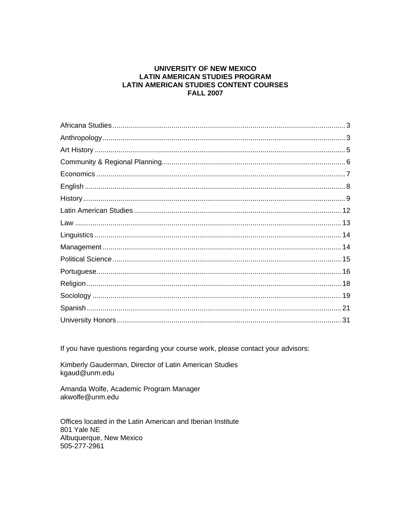#### **UNIVERSITY OF NEW MEXICO LATIN AMERICAN STUDIES PROGRAM LATIN AMERICAN STUDIES CONTENT COURSES FALL 2007**

If you have questions regarding your course work, please contact your advisors:

Kimberly Gauderman, Director of Latin American Studies kgaud@unm.edu

Amanda Wolfe, Academic Program Manager akwolfe@unm.edu

Offices located in the Latin American and Iberian Institute 801 Yale NE Albuquerque, New Mexico 505-277-2961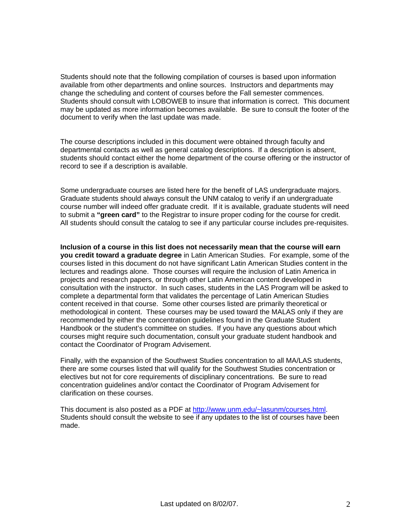Students should note that the following compilation of courses is based upon information available from other departments and online sources. Instructors and departments may change the scheduling and content of courses before the Fall semester commences. Students should consult with LOBOWEB to insure that information is correct. This document may be updated as more information becomes available. Be sure to consult the footer of the document to verify when the last update was made.

The course descriptions included in this document were obtained through faculty and departmental contacts as well as general catalog descriptions. If a description is absent, students should contact either the home department of the course offering or the instructor of record to see if a description is available.

Some undergraduate courses are listed here for the benefit of LAS undergraduate majors. Graduate students should always consult the UNM catalog to verify if an undergraduate course number will indeed offer graduate credit. If it is available, graduate students will need to submit a **"green card"** to the Registrar to insure proper coding for the course for credit. All students should consult the catalog to see if any particular course includes pre-requisites.

**Inclusion of a course in this list does not necessarily mean that the course will earn you credit toward a graduate degree** in Latin American Studies. For example, some of the courses listed in this document do not have significant Latin American Studies content in the lectures and readings alone. Those courses will require the inclusion of Latin America in projects and research papers, or through other Latin American content developed in consultation with the instructor. In such cases, students in the LAS Program will be asked to complete a departmental form that validates the percentage of Latin American Studies content received in that course. Some other courses listed are primarily theoretical or methodological in content. These courses may be used toward the MALAS only if they are recommended by either the concentration guidelines found in the Graduate Student Handbook or the student's committee on studies. If you have any questions about which courses might require such documentation, consult your graduate student handbook and contact the Coordinator of Program Advisement.

Finally, with the expansion of the Southwest Studies concentration to all MA/LAS students, there are some courses listed that will qualify for the Southwest Studies concentration or electives but not for core requirements of disciplinary concentrations. Be sure to read concentration guidelines and/or contact the Coordinator of Program Advisement for clarification on these courses.

This document is also posted as a PDF at http://www.unm.edu/~lasunm/courses.html. Students should consult the website to see if any updates to the list of courses have been made.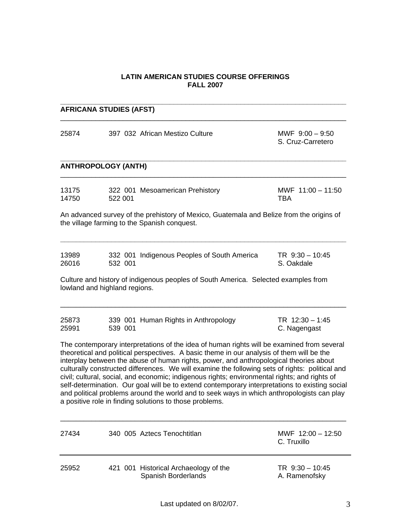## **LATIN AMERICAN STUDIES COURSE OFFERINGS FALL 2007**

| <b>AFRICANA STUDIES (AFST)</b> |         |                                                                                                                                                                                                                                                                                                                                                                                                                                                                                                                                                                                                                                                                                                                                                  |                                        |
|--------------------------------|---------|--------------------------------------------------------------------------------------------------------------------------------------------------------------------------------------------------------------------------------------------------------------------------------------------------------------------------------------------------------------------------------------------------------------------------------------------------------------------------------------------------------------------------------------------------------------------------------------------------------------------------------------------------------------------------------------------------------------------------------------------------|----------------------------------------|
| 25874                          |         | 397 032 African Mestizo Culture                                                                                                                                                                                                                                                                                                                                                                                                                                                                                                                                                                                                                                                                                                                  | MWF $9:00 - 9:50$<br>S. Cruz-Carretero |
| <b>ANTHROPOLOGY (ANTH)</b>     |         |                                                                                                                                                                                                                                                                                                                                                                                                                                                                                                                                                                                                                                                                                                                                                  |                                        |
| 13175<br>14750                 | 522 001 | 322 001 Mesoamerican Prehistory                                                                                                                                                                                                                                                                                                                                                                                                                                                                                                                                                                                                                                                                                                                  | MWF 11:00 - 11:50<br>TBA               |
|                                |         | An advanced survey of the prehistory of Mexico, Guatemala and Belize from the origins of<br>the village farming to the Spanish conquest.                                                                                                                                                                                                                                                                                                                                                                                                                                                                                                                                                                                                         |                                        |
| 13989<br>26016                 | 532 001 | 332 001 Indigenous Peoples of South America                                                                                                                                                                                                                                                                                                                                                                                                                                                                                                                                                                                                                                                                                                      | $TR$ 9:30 - 10:45<br>S. Oakdale        |
| lowland and highland regions.  |         | Culture and history of indigenous peoples of South America. Selected examples from                                                                                                                                                                                                                                                                                                                                                                                                                                                                                                                                                                                                                                                               |                                        |
| 25873<br>25991                 | 539 001 | 339 001 Human Rights in Anthropology                                                                                                                                                                                                                                                                                                                                                                                                                                                                                                                                                                                                                                                                                                             | TR 12:30 - 1:45<br>C. Nagengast        |
|                                |         | The contemporary interpretations of the idea of human rights will be examined from several<br>theoretical and political perspectives. A basic theme in our analysis of them will be the<br>interplay between the abuse of human rights, power, and anthropological theories about<br>culturally constructed differences. We will examine the following sets of rights: political and<br>civil; cultural, social, and economic; indigenous rights; environmental rights; and rights of<br>self-determination. Our goal will be to extend contemporary interpretations to existing social<br>and political problems around the world and to seek ways in which anthropologists can play<br>a positive role in finding solutions to those problems. |                                        |
| 27434                          |         | 340 005 Aztecs Tenochtitlan                                                                                                                                                                                                                                                                                                                                                                                                                                                                                                                                                                                                                                                                                                                      | MWF 12:00 - 12:50<br>C. Truxillo       |
| 25952                          |         | 421 001 Historical Archaeology of the<br>Spanish Borderlands                                                                                                                                                                                                                                                                                                                                                                                                                                                                                                                                                                                                                                                                                     | TR 9:30 - 10:45<br>A. Ramenofsky       |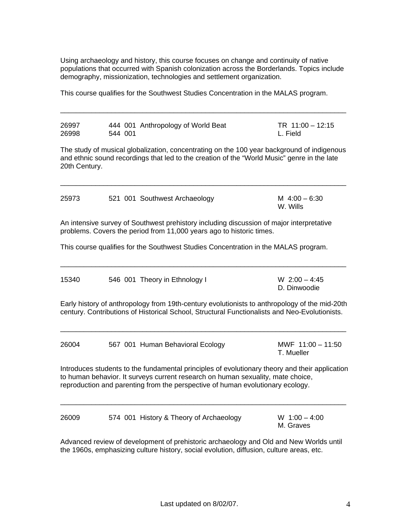Using archaeology and history, this course focuses on change and continuity of native populations that occurred with Spanish colonization across the Borderlands. Topics include demography, missionization, technologies and settlement organization.

This course qualifies for the Southwest Studies Concentration in the MALAS program.

| 26997 | 444 001 Anthropology of World Beat | TR $11:00 - 12:15$ |
|-------|------------------------------------|--------------------|
| 26998 | 544 001                            | L. Field           |

\_\_\_\_\_\_\_\_\_\_\_\_\_\_\_\_\_\_\_\_\_\_\_\_\_\_\_\_\_\_\_\_\_\_\_\_\_\_\_\_\_\_\_\_\_\_\_\_\_\_\_\_\_\_\_\_\_\_\_\_\_\_\_\_\_\_\_\_\_\_\_\_\_

The study of musical globalization, concentrating on the 100 year background of indigenous and ethnic sound recordings that led to the creation of the "World Music" genre in the late 20th Century.

 $\_$  ,  $\_$  ,  $\_$  ,  $\_$  ,  $\_$  ,  $\_$  ,  $\_$  ,  $\_$  ,  $\_$  ,  $\_$  ,  $\_$  ,  $\_$  ,  $\_$  ,  $\_$  ,  $\_$  ,  $\_$  ,  $\_$  ,  $\_$  ,  $\_$  ,  $\_$  ,  $\_$  ,  $\_$  ,  $\_$  ,  $\_$  ,  $\_$  ,  $\_$  ,  $\_$  ,  $\_$  ,  $\_$  ,  $\_$  ,  $\_$  ,  $\_$  ,  $\_$  ,  $\_$  ,  $\_$  ,  $\_$  ,  $\_$  ,

| 25973 | 521 001 Southwest Archaeology | M $4:00 - 6:30$ |
|-------|-------------------------------|-----------------|
|       |                               | W. Wills        |

An intensive survey of Southwest prehistory including discussion of major interpretative problems. Covers the period from 11,000 years ago to historic times.

This course qualifies for the Southwest Studies Concentration in the MALAS program.

| 15340                         |   | W $2:00 - 4:45$ |
|-------------------------------|---|-----------------|
| 546 001 Theory in Ethnology I |   | D. Dinwoodie    |
|                               | . |                 |

Early history of anthropology from 19th-century evolutionists to anthropology of the mid-20th century. Contributions of Historical School, Structural Functionalists and Neo-Evolutionists.

 $\overline{\phantom{a}}$  ,  $\overline{\phantom{a}}$  ,  $\overline{\phantom{a}}$  ,  $\overline{\phantom{a}}$  ,  $\overline{\phantom{a}}$  ,  $\overline{\phantom{a}}$  ,  $\overline{\phantom{a}}$  ,  $\overline{\phantom{a}}$  ,  $\overline{\phantom{a}}$  ,  $\overline{\phantom{a}}$  ,  $\overline{\phantom{a}}$  ,  $\overline{\phantom{a}}$  ,  $\overline{\phantom{a}}$  ,  $\overline{\phantom{a}}$  ,  $\overline{\phantom{a}}$  ,  $\overline{\phantom{a}}$ 

 $\_$  ,  $\_$  ,  $\_$  ,  $\_$  ,  $\_$  ,  $\_$  ,  $\_$  ,  $\_$  ,  $\_$  ,  $\_$  ,  $\_$  ,  $\_$  ,  $\_$  ,  $\_$  ,  $\_$  ,  $\_$  ,  $\_$  ,  $\_$  ,  $\_$  ,  $\_$  ,  $\_$  ,  $\_$  ,  $\_$  ,  $\_$  ,  $\_$  ,  $\_$  ,  $\_$  ,  $\_$  ,  $\_$  ,  $\_$  ,  $\_$  ,  $\_$  ,  $\_$  ,  $\_$  ,  $\_$  ,  $\_$  ,  $\_$  ,

| 26004 | 567 001 Human Behavioral Ecology | MWF 11:00 - 11:50 |
|-------|----------------------------------|-------------------|
|       |                                  | T. Mueller        |

Introduces students to the fundamental principles of evolutionary theory and their application to human behavior. It surveys current research on human sexuality, mate choice, reproduction and parenting from the perspective of human evolutionary ecology.

 $\overline{\phantom{a}}$  ,  $\overline{\phantom{a}}$  ,  $\overline{\phantom{a}}$  ,  $\overline{\phantom{a}}$  ,  $\overline{\phantom{a}}$  ,  $\overline{\phantom{a}}$  ,  $\overline{\phantom{a}}$  ,  $\overline{\phantom{a}}$  ,  $\overline{\phantom{a}}$  ,  $\overline{\phantom{a}}$  ,  $\overline{\phantom{a}}$  ,  $\overline{\phantom{a}}$  ,  $\overline{\phantom{a}}$  ,  $\overline{\phantom{a}}$  ,  $\overline{\phantom{a}}$  ,  $\overline{\phantom{a}}$ 

| 26009 | 574 001 History & Theory of Archaeology | W $1:00 - 4:00$ |
|-------|-----------------------------------------|-----------------|
|       |                                         | M. Graves       |

Advanced review of development of prehistoric archaeology and Old and New Worlds until the 1960s, emphasizing culture history, social evolution, diffusion, culture areas, etc.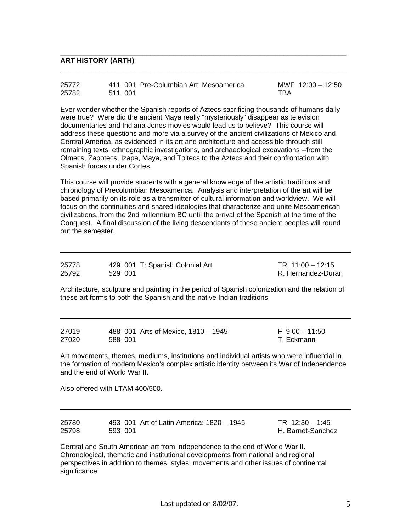#### **ART HISTORY (ARTH)**

| 25772 |         | 411 001 Pre-Columbian Art: Mesoamerica | MWF $12:00 - 12:50$ |
|-------|---------|----------------------------------------|---------------------|
| 25782 | 511 001 |                                        | TBA                 |

**\_\_\_\_\_\_\_\_\_\_\_\_\_\_\_\_\_\_\_\_\_\_\_\_\_\_\_\_\_\_\_\_\_\_\_\_\_\_\_\_\_\_\_\_\_\_\_\_\_\_\_\_\_\_\_\_\_\_\_\_\_\_\_\_\_\_\_\_\_\_\_\_\_** 

\_\_\_\_\_\_\_\_\_\_\_\_\_\_\_\_\_\_\_\_\_\_\_\_\_\_\_\_\_\_\_\_\_\_\_\_\_\_\_\_\_\_\_\_\_\_\_\_\_\_\_\_\_\_\_\_\_\_\_\_\_\_\_\_\_\_\_\_\_\_\_\_\_

Ever wonder whether the Spanish reports of Aztecs sacrificing thousands of humans daily were true? Were did the ancient Maya really "mysteriously" disappear as television documentaries and Indiana Jones movies would lead us to believe? This course will address these questions and more via a survey of the ancient civilizations of Mexico and Central America, as evidenced in its art and architecture and accessible through still remaining texts, ethnographic investigations, and archaeological excavations --from the Olmecs, Zapotecs, Izapa, Maya, and Toltecs to the Aztecs and their confrontation with Spanish forces under Cortes.

This course will provide students with a general knowledge of the artistic traditions and chronology of Precolumbian Mesoamerica. Analysis and interpretation of the art will be based primarily on its role as a transmitter of cultural information and worldview. We will focus on the continuities and shared ideologies that characterize and unite Mesoamerican civilizations, from the 2nd millennium BC until the arrival of the Spanish at the time of the Conquest. A final discussion of the living descendants of these ancient peoples will round out the semester.

| 25778 | 429 001 T: Spanish Colonial Art | TR $11:00 - 12:15$ |
|-------|---------------------------------|--------------------|
| 25792 | 529 001                         | R. Hernandez-Duran |

Architecture, sculpture and painting in the period of Spanish colonization and the relation of these art forms to both the Spanish and the native Indian traditions.

| 27019 |         | 488 001 Arts of Mexico, 1810 - 1945 | F 9:00 - 11:50 |
|-------|---------|-------------------------------------|----------------|
| 27020 | 588 001 |                                     | T. Eckmann     |

Art movements, themes, mediums, institutions and individual artists who were influential in the formation of modern Mexico's complex artistic identity between its War of Independence and the end of World War II.

Also offered with LTAM 400/500.

| 25780 |         | 493 001 Art of Latin America: 1820 - 1945 | TR $12:30 - 1:45$ |
|-------|---------|-------------------------------------------|-------------------|
| 25798 | 593 001 |                                           | H. Barnet-Sanchez |

Central and South American art from independence to the end of World War II. Chronological, thematic and institutional developments from national and regional perspectives in addition to themes, styles, movements and other issues of continental significance.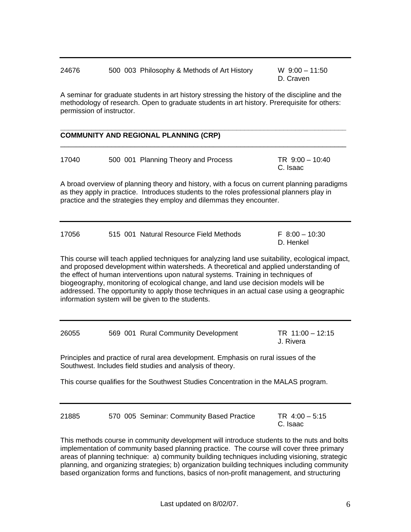| 24676 | 500 003 Philosophy & Methods of Art History | W $9:00 - 11:50$ |
|-------|---------------------------------------------|------------------|
|       |                                             | D. Craven        |

A seminar for graduate students in art history stressing the history of the discipline and the methodology of research. Open to graduate students in art history. Prerequisite for others: permission of instructor.

|       | <b>COMMUNITY AND REGIONAL PLANNING (CRP)</b>                                                                                                                                                                                                                                                                                                                                                                                                                                                                             |                                  |
|-------|--------------------------------------------------------------------------------------------------------------------------------------------------------------------------------------------------------------------------------------------------------------------------------------------------------------------------------------------------------------------------------------------------------------------------------------------------------------------------------------------------------------------------|----------------------------------|
| 17040 | 500 001 Planning Theory and Process                                                                                                                                                                                                                                                                                                                                                                                                                                                                                      | $TR \, 9:00 - 10:40$<br>C. Isaac |
|       | A broad overview of planning theory and history, with a focus on current planning paradigms<br>as they apply in practice. Introduces students to the roles professional planners play in<br>practice and the strategies they employ and dilemmas they encounter.                                                                                                                                                                                                                                                         |                                  |
| 17056 | 515 001 Natural Resource Field Methods                                                                                                                                                                                                                                                                                                                                                                                                                                                                                   | $F 8:00 - 10:30$<br>D. Henkel    |
|       | This course will teach applied techniques for analyzing land use suitability, ecological impact,<br>and proposed development within watersheds. A theoretical and applied understanding of<br>the effect of human interventions upon natural systems. Training in techniques of<br>biogeography, monitoring of ecological change, and land use decision models will be<br>addressed. The opportunity to apply those techniques in an actual case using a geographic<br>information system will be given to the students. |                                  |
| 26055 | 569 001 Rural Community Development                                                                                                                                                                                                                                                                                                                                                                                                                                                                                      | TR $11:00 - 12:15$<br>J. Rivera  |
|       | Principles and practice of rural area development. Emphasis on rural issues of the<br>Southwest. Includes field studies and analysis of theory.                                                                                                                                                                                                                                                                                                                                                                          |                                  |
|       | This course qualifies for the Southwest Studies Concentration in the MALAS program.                                                                                                                                                                                                                                                                                                                                                                                                                                      |                                  |
| 21885 | 570 005 Seminar: Community Based Practice                                                                                                                                                                                                                                                                                                                                                                                                                                                                                | TR 4:00 - 5:15<br>C. Isaac       |

This methods course in community development will introduce students to the nuts and bolts implementation of community based planning practice. The course will cover three primary areas of planning technique: a) community building techniques including visioning, strategic planning, and organizing strategies; b) organization building techniques including community based organization forms and functions, basics of non-profit management, and structuring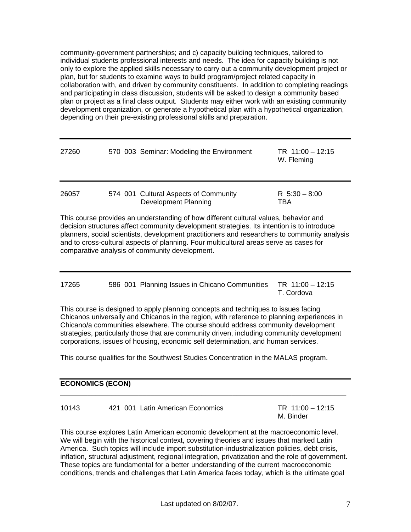community-government partnerships; and c) capacity building techniques, tailored to individual students professional interests and needs. The idea for capacity building is not only to explore the applied skills necessary to carry out a community development project or plan, but for students to examine ways to build program/project related capacity in collaboration with, and driven by community constituents. In addition to completing readings and participating in class discussion, students will be asked to design a community based plan or project as a final class output. Students may either work with an existing community development organization, or generate a hypothetical plan with a hypothetical organization, depending on their pre-existing professional skills and preparation.

| 27260 | 570 003 Seminar: Modeling the Environment                     | TR $11:00 - 12:15$<br>W. Fleming |
|-------|---------------------------------------------------------------|----------------------------------|
| 26057 | 574 001 Cultural Aspects of Community<br>Development Planning | R $5:30 - 8:00$<br>TBA           |

This course provides an understanding of how different cultural values, behavior and decision structures affect community development strategies. Its intention is to introduce planners, social scientists, development practitioners and researchers to community analysis and to cross-cultural aspects of planning. Four multicultural areas serve as cases for comparative analysis of community development.

| 17265 | 586 001 Planning Issues in Chicano Communities TR 11:00 - 12:15 |            |
|-------|-----------------------------------------------------------------|------------|
|       |                                                                 | T. Cordova |

This course is designed to apply planning concepts and techniques to issues facing Chicanos universally and Chicanos in the region, with reference to planning experiences in Chicano/a communities elsewhere. The course should address community development strategies, particularly those that are community driven, including community development corporations, issues of housing, economic self determination, and human services.

This course qualifies for the Southwest Studies Concentration in the MALAS program.

| <b>ECONOMICS (ECON)</b> |                                  |                                 |  |  |  |
|-------------------------|----------------------------------|---------------------------------|--|--|--|
| 10143                   | 421 001 Latin American Economics | $TR 11:00 - 12:15$<br>M. Binder |  |  |  |

This course explores Latin American economic development at the macroeconomic level. We will begin with the historical context, covering theories and issues that marked Latin America. Such topics will include import substitution-industrialization policies, debt crisis, inflation, structural adjustment, regional integration, privatization and the role of government. These topics are fundamental for a better understanding of the current macroeconomic conditions, trends and challenges that Latin America faces today, which is the ultimate goal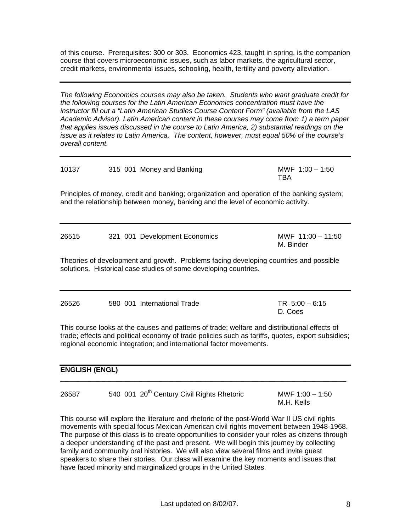of this course. Prerequisites: 300 or 303. Economics 423, taught in spring, is the companion course that covers microeconomic issues, such as labor markets, the agricultural sector, credit markets, environmental issues, schooling, health, fertility and poverty alleviation.

*The following Economics courses may also be taken. Students who want graduate credit for the following courses for the Latin American Economics concentration must have the instructor fill out a "Latin American Studies Course Content Form" (available from the LAS Academic Advisor). Latin American content in these courses may come from 1) a term paper that applies issues discussed in the course to Latin America, 2) substantial readings on the issue as it relates to Latin America. The content, however, must equal 50% of the course's overall content.*

| 10137                                                                                                                                                                                                                                                                   |  | 315 001 Money and Banking     | MWF $1:00 - 1:50$<br>TBA         |  |  |  |  |
|-------------------------------------------------------------------------------------------------------------------------------------------------------------------------------------------------------------------------------------------------------------------------|--|-------------------------------|----------------------------------|--|--|--|--|
| Principles of money, credit and banking; organization and operation of the banking system;<br>and the relationship between money, banking and the level of economic activity.                                                                                           |  |                               |                                  |  |  |  |  |
| 26515                                                                                                                                                                                                                                                                   |  | 321 001 Development Economics | MWF $11:00 - 11:50$<br>M. Binder |  |  |  |  |
| Theories of development and growth. Problems facing developing countries and possible<br>solutions. Historical case studies of some developing countries.                                                                                                               |  |                               |                                  |  |  |  |  |
| 26526                                                                                                                                                                                                                                                                   |  | 580 001 International Trade   | $TR 5:00 - 6:15$<br>D. Coes      |  |  |  |  |
| This course looks at the causes and patterns of trade; welfare and distributional effects of<br>trade; effects and political economy of trade policies such as tariffs, quotes, export subsidies;<br>regional economic integration; and international factor movements. |  |                               |                                  |  |  |  |  |

#### **ENGLISH (ENGL)**

| 26587 | 540 001 20 <sup>th</sup> Century Civil Rights Rhetoric | MWF $1:00 - 1:50$ |  |
|-------|--------------------------------------------------------|-------------------|--|
|       |                                                        | M.H. Kells        |  |

This course will explore the literature and rhetoric of the post-World War II US civil rights movements with special focus Mexican American civil rights movement between 1948-1968. The purpose of this class is to create opportunities to consider your roles as citizens through a deeper understanding of the past and present. We will begin this journey by collecting family and community oral histories. We will also view several films and invite guest speakers to share their stories. Our class will examine the key moments and issues that have faced minority and marginalized groups in the United States.

 $\overline{\phantom{a}}$  ,  $\overline{\phantom{a}}$  ,  $\overline{\phantom{a}}$  ,  $\overline{\phantom{a}}$  ,  $\overline{\phantom{a}}$  ,  $\overline{\phantom{a}}$  ,  $\overline{\phantom{a}}$  ,  $\overline{\phantom{a}}$  ,  $\overline{\phantom{a}}$  ,  $\overline{\phantom{a}}$  ,  $\overline{\phantom{a}}$  ,  $\overline{\phantom{a}}$  ,  $\overline{\phantom{a}}$  ,  $\overline{\phantom{a}}$  ,  $\overline{\phantom{a}}$  ,  $\overline{\phantom{a}}$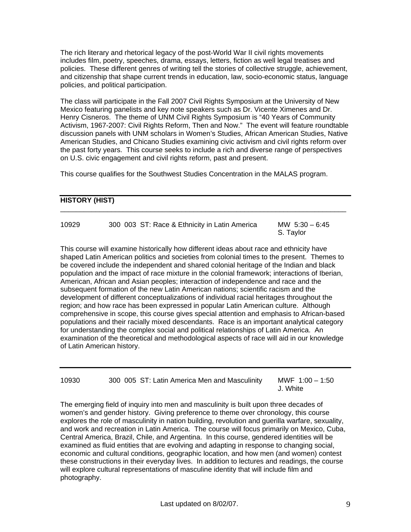The rich literary and rhetorical legacy of the post-World War II civil rights movements includes film, poetry, speeches, drama, essays, letters, fiction as well legal treatises and policies. These different genres of writing tell the stories of collective struggle, achievement, and citizenship that shape current trends in education, law, socio-economic status, language policies, and political participation.

The class will participate in the Fall 2007 Civil Rights Symposium at the University of New Mexico featuring panelists and key note speakers such as Dr. Vicente Ximenes and Dr. Henry Cisneros. The theme of UNM Civil Rights Symposium is "40 Years of Community Activism, 1967-2007: Civil Rights Reform, Then and Now." The event will feature roundtable discussion panels with UNM scholars in Women's Studies, African American Studies, Native American Studies, and Chicano Studies examining civic activism and civil rights reform over the past forty years. This course seeks to include a rich and diverse range of perspectives on U.S. civic engagement and civil rights reform, past and present.

This course qualifies for the Southwest Studies Concentration in the MALAS program.

#### **HISTORY (HIST)**

| 10929 | 300 003 ST: Race & Ethnicity in Latin America | MW $5:30 - 6:45$ |
|-------|-----------------------------------------------|------------------|
|       |                                               | S. Taylor        |

\_\_\_\_\_\_\_\_\_\_\_\_\_\_\_\_\_\_\_\_\_\_\_\_\_\_\_\_\_\_\_\_\_\_\_\_\_\_\_\_\_\_\_\_\_\_\_\_\_\_\_\_\_\_\_\_\_\_\_\_\_\_\_\_\_\_\_\_\_\_\_\_\_

This course will examine historically how different ideas about race and ethnicity have shaped Latin American politics and societies from colonial times to the present. Themes to be covered include the independent and shared colonial heritage of the Indian and black population and the impact of race mixture in the colonial framework; interactions of Iberian, American, African and Asian peoples; interaction of independence and race and the subsequent formation of the new Latin American nations; scientific racism and the development of different conceptualizations of individual racial heritages throughout the region; and how race has been expressed in popular Latin American culture. Although comprehensive in scope, this course gives special attention and emphasis to African-based populations and their racially mixed descendants. Race is an important analytical category for understanding the complex social and political relationships of Latin America. An examination of the theoretical and methodological aspects of race will aid in our knowledge of Latin American history.

| 10930 |  | 300 005 ST: Latin America Men and Masculinity |          | MWF $1:00 - 1:50$ |
|-------|--|-----------------------------------------------|----------|-------------------|
|       |  |                                               | J. White |                   |

The emerging field of inquiry into men and masculinity is built upon three decades of women's and gender history. Giving preference to theme over chronology, this course explores the role of masculinity in nation building, revolution and guerilla warfare, sexuality, and work and recreation in Latin America. The course will focus primarily on Mexico, Cuba, Central America, Brazil, Chile, and Argentina. In this course, gendered identities will be examined as fluid entities that are evolving and adapting in response to changing social, economic and cultural conditions, geographic location, and how men (and women) contest these constructions in their everyday lives. In addition to lectures and readings, the course will explore cultural representations of masculine identity that will include film and photography.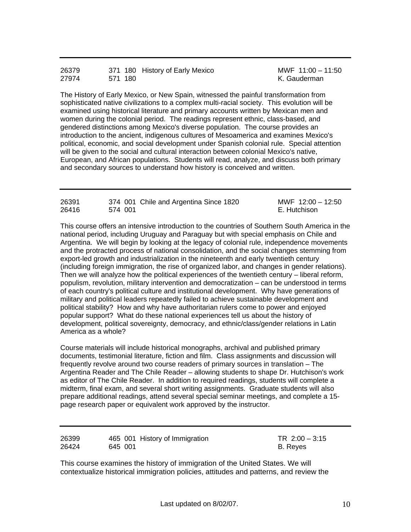| 26379 |         | 371 180 History of Early Mexico |
|-------|---------|---------------------------------|
| 27974 | 571 180 |                                 |

MWF 11:00 – 11:50 K. Gauderman

The History of Early Mexico, or New Spain, witnessed the painful transformation from sophisticated native civilizations to a complex multi-racial society. This evolution will be examined using historical literature and primary accounts written by Mexican men and women during the colonial period. The readings represent ethnic, class-based, and gendered distinctions among Mexico's diverse population. The course provides an introduction to the ancient, indigenous cultures of Mesoamerica and examines Mexico's political, economic, and social development under Spanish colonial rule. Special attention will be given to the social and cultural interaction between colonial Mexico's native, European, and African populations. Students will read, analyze, and discuss both primary and secondary sources to understand how history is conceived and written.

| 26391 |         | 374 001 Chile and Argentina Since 1820 | MWF $12:00 - 12:50$ |
|-------|---------|----------------------------------------|---------------------|
| 26416 | 574 001 |                                        | E. Hutchison        |

This course offers an intensive introduction to the countries of Southern South America in the national period, including Uruguay and Paraguay but with special emphasis on Chile and Argentina. We will begin by looking at the legacy of colonial rule, independence movements and the protracted process of national consolidation, and the social changes stemming from export-led growth and industrialization in the nineteenth and early twentieth century (including foreign immigration, the rise of organized labor, and changes in gender relations). Then we will analyze how the political experiences of the twentieth century – liberal reform, populism, revolution, military intervention and democratization – can be understood in terms of each country's political culture and institutional development. Why have generations of military and political leaders repeatedly failed to achieve sustainable development and political stability? How and why have authoritarian rulers come to power and enjoyed popular support? What do these national experiences tell us about the history of development, political sovereignty, democracy, and ethnic/class/gender relations in Latin America as a whole?

Course materials will include historical monographs, archival and published primary documents, testimonial literature, fiction and film. Class assignments and discussion will frequently revolve around two course readers of primary sources in translation – The Argentina Reader and The Chile Reader – allowing students to shape Dr. Hutchison's work as editor of The Chile Reader. In addition to required readings, students will complete a midterm, final exam, and several short writing assignments. Graduate students will also prepare additional readings, attend several special seminar meetings, and complete a 15 page research paper or equivalent work approved by the instructor.

| 26399 | 465 001 History of Immigration | TR $2:00 - 3:15$ |
|-------|--------------------------------|------------------|
| 26424 | 645 001                        | B. Reves         |
|       |                                |                  |

This course examines the history of immigration of the United States. We will contextualize historical immigration policies, attitudes and patterns, and review the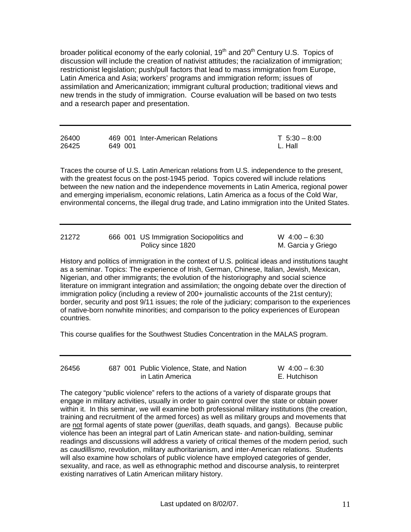broader political economy of the early colonial, 19<sup>th</sup> and 20<sup>th</sup> Century U.S. Topics of discussion will include the creation of nativist attitudes; the racialization of immigration; restrictionist legislation; push/pull factors that lead to mass immigration from Europe, Latin America and Asia; workers' programs and immigration reform; issues of assimilation and Americanization; immigrant cultural production; traditional views and new trends in the study of immigration. Course evaluation will be based on two tests and a research paper and presentation.

| 26400 |         | 469 001 Inter-American Relations | $T$ 5:30 $-$ 8:00 |
|-------|---------|----------------------------------|-------------------|
| 26425 | 649 001 |                                  | L. Hall           |

Traces the course of U.S. Latin American relations from U.S. independence to the present, with the greatest focus on the post-1945 period. Topics covered will include relations between the new nation and the independence movements in Latin America, regional power and emerging imperialism, economic relations, Latin America as a focus of the Cold War, environmental concerns, the illegal drug trade, and Latino immigration into the United States.

| 21272 | 666 001 US Immigration Sociopolitics and | $W$ 4:00 – 6:30    |
|-------|------------------------------------------|--------------------|
|       | Policy since 1820                        | M. Garcia y Griego |

History and politics of immigration in the context of U.S. political ideas and institutions taught as a seminar. Topics: The experience of Irish, German, Chinese, Italian, Jewish, Mexican, Nigerian, and other immigrants; the evolution of the historiography and social science literature on immigrant integration and assimilation; the ongoing debate over the direction of immigration policy (including a review of 200+ journalistic accounts of the 21st century); border, security and post 9/11 issues; the role of the judiciary; comparison to the experiences of native-born nonwhite minorities; and comparison to the policy experiences of European countries.

This course qualifies for the Southwest Studies Concentration in the MALAS program.

| 26456 | 687 001 Public Violence, State, and Nation | $W$ 4:00 – 6:30 |
|-------|--------------------------------------------|-----------------|
|       | in Latin America                           | E. Hutchison    |

The category "public violence" refers to the actions of a variety of disparate groups that engage in military activities, usually in order to gain control over the state or obtain power within it. In this seminar, we will examine both professional military institutions (the creation, training and recruitment of the armed forces) as well as military groups and movements that are not formal agents of state power (*guerillas*, death squads, and gangs). Because public violence has been an integral part of Latin American state- and nation-building, seminar readings and discussions will address a variety of critical themes of the modern period, such as *caudillismo*, revolution, military authoritarianism, and inter-American relations. Students will also examine how scholars of public violence have employed categories of gender, sexuality, and race, as well as ethnographic method and discourse analysis, to reinterpret existing narratives of Latin American military history.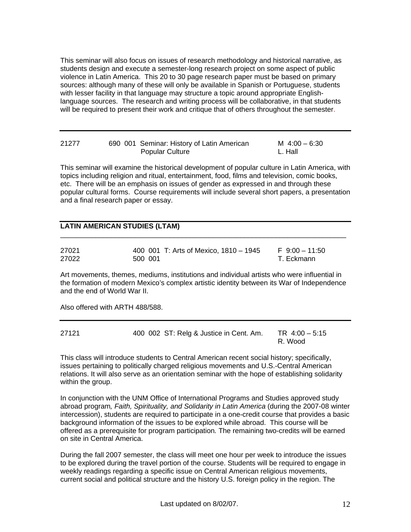This seminar will also focus on issues of research methodology and historical narrative, as students design and execute a semester-long research project on some aspect of public violence in Latin America. This 20 to 30 page research paper must be based on primary sources: although many of these will only be available in Spanish or Portuguese, students with lesser facility in that language may structure a topic around appropriate Englishlanguage sources. The research and writing process will be collaborative, in that students will be required to present their work and critique that of others throughout the semester.

| 21277 | 690 001 Seminar: History of Latin American |                        | M $4:00 - 6:30$ |
|-------|--------------------------------------------|------------------------|-----------------|
|       |                                            | <b>Popular Culture</b> | L. Hall         |

This seminar will examine the historical development of popular culture in Latin America, with topics including religion and ritual, entertainment, food, films and television, comic books, etc. There will be an emphasis on issues of gender as expressed in and through these popular cultural forms. Course requirements will include several short papers, a presentation and a final research paper or essay.

#### **LATIN AMERICAN STUDIES (LTAM)**

| 27021 |         | 400 001 T: Arts of Mexico, 1810 - 1945 | $F \cdot 9:00 - 11:50$ |
|-------|---------|----------------------------------------|------------------------|
| 27022 | 500 001 |                                        | T. Eckmann             |

Art movements, themes, mediums, institutions and individual artists who were influential in the formation of modern Mexico's complex artistic identity between its War of Independence and the end of World War II.

 $\overline{\phantom{a}}$  ,  $\overline{\phantom{a}}$  ,  $\overline{\phantom{a}}$  ,  $\overline{\phantom{a}}$  ,  $\overline{\phantom{a}}$  ,  $\overline{\phantom{a}}$  ,  $\overline{\phantom{a}}$  ,  $\overline{\phantom{a}}$  ,  $\overline{\phantom{a}}$  ,  $\overline{\phantom{a}}$  ,  $\overline{\phantom{a}}$  ,  $\overline{\phantom{a}}$  ,  $\overline{\phantom{a}}$  ,  $\overline{\phantom{a}}$  ,  $\overline{\phantom{a}}$  ,  $\overline{\phantom{a}}$ 

Also offered with ARTH 488/588.

| 27121 | 400 002 ST: Relg & Justice in Cent. Am. | TR $4:00 - 5:15$ |
|-------|-----------------------------------------|------------------|
|       |                                         | R. Wood          |

This class will introduce students to Central American recent social history; specifically, issues pertaining to politically charged religious movements and U.S.-Central American relations. It will also serve as an orientation seminar with the hope of establishing solidarity within the group.

In conjunction with the UNM Office of International Programs and Studies approved study abroad program*, Faith, Spirituality, and Solidarity in Latin America* (during the 2007-08 winter intercession), students are required to participate in a one-credit course that provides a basic background information of the issues to be explored while abroad. This course will be offered as a prerequisite for program participation*.* The remaining two-credits will be earned on site in Central America.

During the fall 2007 semester, the class will meet one hour per week to introduce the issues to be explored during the travel portion of the course. Students will be required to engage in weekly readings regarding a specific issue on Central American religious movements, current social and political structure and the history U.S. foreign policy in the region. The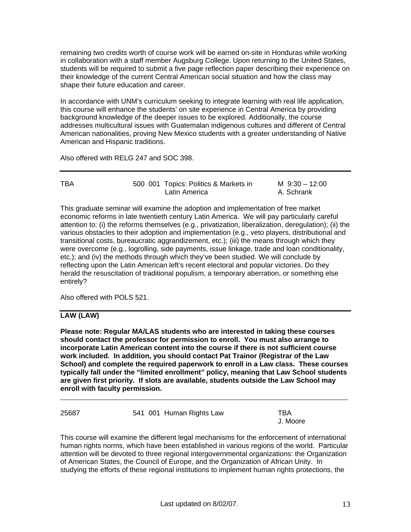remaining two credits worth of course work will be earned on-site in Honduras while working in collaboration with a staff member Augsburg College. Upon returning to the United States, students will be required to submit a five page reflection paper describing their experience on their knowledge of the current Central American social situation and how the class may shape their future education and career.

In accordance with UNM's curriculum seeking to integrate learning with real life application, this course will enhance the students' on site experience in Central America by providing background knowledge of the deeper issues to be explored. Additionally, the course addresses multicultural issues with Guatemalan indigenous cultures and different of Central American nationalities, proving New Mexico students with a greater understanding of Native American and Hispanic traditions.

Also offered with RELG 247 and SOC 398.

| TBA | 500 001 Topics: Politics & Markets in | M $9:30 - 12:00$ |
|-----|---------------------------------------|------------------|
|     | Latin America                         | A. Schrank       |

This graduate seminar will examine the adoption and implementation of free market economic reforms in late twentieth century Latin America. We will pay particularly careful attention to: (i) the reforms themselves (e.g., privatization, liberalization, deregulation); (ii) the various obstacles to their adoption and implementation (e.g., veto players, distributional and transitional costs, bureaucratic aggrandizement, etc.); (iii) the means through which they were overcome (e.g., logrolling, side payments, issue linkage, trade and loan conditionality, etc.); and (iv) the methods through which they've been studied. We will conclude by reflecting upon the Latin American left's recent electoral and popular victories. Do they herald the resuscitation of traditional populism, a temporary aberration, or something else entirely?

Also offered with POLS 521.

## **LAW (LAW)**

**Please note: Regular MA/LAS students who are interested in taking these courses should contact the professor for permission to enroll. You must also arrange to incorporate Latin American content into the course if there is not sufficient course work included. In addition, you should contact Pat Trainor (Registrar of the Law School) and complete the required paperwork to enroll in a Law class. These courses typically fall under the "limited enrollment" policy, meaning that Law School students are given first priority. If slots are available, students outside the Law School may enroll with faculty permission.** 

\_\_\_\_\_\_\_\_\_\_\_\_\_\_\_\_\_\_\_\_\_\_\_\_\_\_\_\_\_\_\_\_\_\_\_\_\_\_\_\_\_\_\_\_\_\_\_\_\_\_\_\_\_\_\_\_\_\_\_\_\_\_\_\_\_\_\_\_\_\_\_\_\_\_\_\_\_\_

| 25687 | 541 001 Human Rights Law | TBA.<br>J. Moore |
|-------|--------------------------|------------------|
|       |                          |                  |

This course will examine the different legal mechanisms for the enforcement of international human rights norms, which have been established in various regions of the world. Particular attention will be devoted to three regional intergovernmental organizations: the Organization of American States, the Council of Europe, and the Organization of African Unity. In studying the efforts of these regional institutions to implement human rights protections, the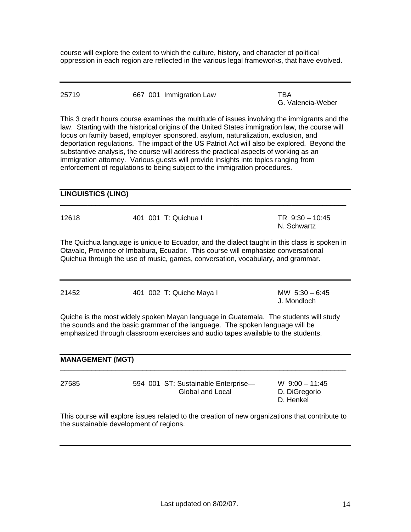course will explore the extent to which the culture, history, and character of political oppression in each region are reflected in the various legal frameworks, that have evolved.

| 25719 |  | 667 001 Immigration Law | TBA               |
|-------|--|-------------------------|-------------------|
|       |  |                         | G. Valencia-Weber |

This 3 credit hours course examines the multitude of issues involving the immigrants and the law. Starting with the historical origins of the United States immigration law, the course will focus on family based, employer sponsored, asylum, naturalization, exclusion, and deportation regulations. The impact of the US Patriot Act will also be explored. Beyond the substantive analysis, the course will address the practical aspects of working as an immigration attorney. Various guests will provide insights into topics ranging from enforcement of regulations to being subject to the immigration procedures.

#### **LINGUISTICS (LING)**

| 12618 | 401 001 T: Quichua I | TR $9:30 - 10:45$ |
|-------|----------------------|-------------------|
|       |                      | N. Schwartz       |

 $\overline{\phantom{a}}$  ,  $\overline{\phantom{a}}$  ,  $\overline{\phantom{a}}$  ,  $\overline{\phantom{a}}$  ,  $\overline{\phantom{a}}$  ,  $\overline{\phantom{a}}$  ,  $\overline{\phantom{a}}$  ,  $\overline{\phantom{a}}$  ,  $\overline{\phantom{a}}$  ,  $\overline{\phantom{a}}$  ,  $\overline{\phantom{a}}$  ,  $\overline{\phantom{a}}$  ,  $\overline{\phantom{a}}$  ,  $\overline{\phantom{a}}$  ,  $\overline{\phantom{a}}$  ,  $\overline{\phantom{a}}$ 

The Quichua language is unique to Ecuador, and the dialect taught in this class is spoken in Otavalo, Province of Imbabura, Ecuador. This course will emphasize conversational Quichua through the use of music, games, conversation, vocabulary, and grammar.

| 21452 | 401 002 T: Quiche Maya I | MW $5:30 - 6:45$ |
|-------|--------------------------|------------------|
|       |                          | J. Mondloch      |

Quiche is the most widely spoken Mayan language in Guatemala. The students will study the sounds and the basic grammar of the language. The spoken language will be emphasized through classroom exercises and audio tapes available to the students.

| <b>MANAGEMENT (MGT)</b> |                                                         |                                                |  |
|-------------------------|---------------------------------------------------------|------------------------------------------------|--|
| 27585                   | 594 001 ST: Sustainable Enterprise-<br>Global and Local | W $9:00 - 11:45$<br>D. DiGregorio<br>D. Henkel |  |

This course will explore issues related to the creation of new organizations that contribute to the sustainable development of regions.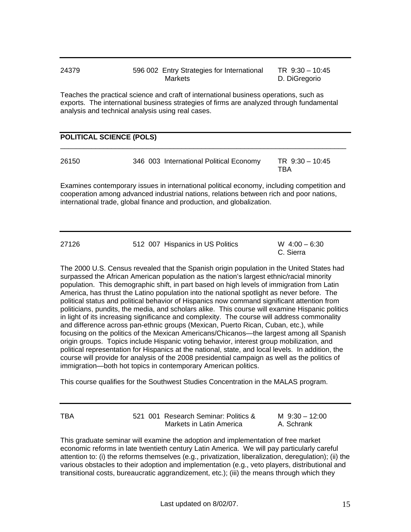| 24379 | 596 002 Entry Strategies for International | TR $9:30 - 10:45$ |
|-------|--------------------------------------------|-------------------|
|       | Markets                                    | D. DiGregorio     |

Teaches the practical science and craft of international business operations, such as exports. The international business strategies of firms are analyzed through fundamental analysis and technical analysis using real cases.

#### **POLITICAL SCIENCE (POLS)**

| 26150 |  | 346 003 International Political Economy | TR 9:30 - 10:45 |
|-------|--|-----------------------------------------|-----------------|
|       |  |                                         | TBA             |

 $\overline{\phantom{a}}$  ,  $\overline{\phantom{a}}$  ,  $\overline{\phantom{a}}$  ,  $\overline{\phantom{a}}$  ,  $\overline{\phantom{a}}$  ,  $\overline{\phantom{a}}$  ,  $\overline{\phantom{a}}$  ,  $\overline{\phantom{a}}$  ,  $\overline{\phantom{a}}$  ,  $\overline{\phantom{a}}$  ,  $\overline{\phantom{a}}$  ,  $\overline{\phantom{a}}$  ,  $\overline{\phantom{a}}$  ,  $\overline{\phantom{a}}$  ,  $\overline{\phantom{a}}$  ,  $\overline{\phantom{a}}$ 

Examines contemporary issues in international political economy, including competition and cooperation among advanced industrial nations, relations between rich and poor nations, international trade, global finance and production, and globalization.

| 27126 | 512 007 Hispanics in US Politics | $W$ 4:00 – 6:30 |  |
|-------|----------------------------------|-----------------|--|
|       |                                  | C. Sierra       |  |

The 2000 U.S. Census revealed that the Spanish origin population in the United States had surpassed the African American population as the nation's largest ethnic/racial minority population. This demographic shift, in part based on high levels of immigration from Latin America, has thrust the Latino population into the national spotlight as never before. The political status and political behavior of Hispanics now command significant attention from politicians, pundits, the media, and scholars alike. This course will examine Hispanic politics in light of its increasing significance and complexity. The course will address commonality and difference across pan-ethnic groups (Mexican, Puerto Rican, Cuban, etc.), while focusing on the politics of the Mexican Americans/Chicanos—the largest among all Spanish origin groups. Topics include Hispanic voting behavior, interest group mobilization, and political representation for Hispanics at the national, state, and local levels. In addition, the course will provide for analysis of the 2008 presidential campaign as well as the politics of immigration—both hot topics in contemporary American politics.

This course qualifies for the Southwest Studies Concentration in the MALAS program.

| TBA | 521 001 Research Seminar: Politics & | M $9:30 - 12:00$ |
|-----|--------------------------------------|------------------|
|     | Markets in Latin America             | A. Schrank       |

This graduate seminar will examine the adoption and implementation of free market economic reforms in late twentieth century Latin America. We will pay particularly careful attention to: (i) the reforms themselves (e.g., privatization, liberalization, deregulation); (ii) the various obstacles to their adoption and implementation (e.g., veto players, distributional and transitional costs, bureaucratic aggrandizement, etc.); (iii) the means through which they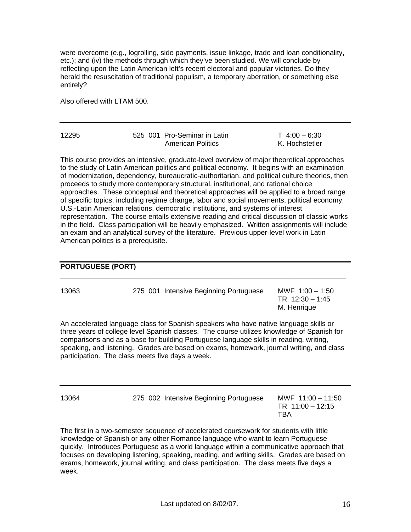were overcome (e.g., logrolling, side payments, issue linkage, trade and loan conditionality, etc.); and (iv) the methods through which they've been studied. We will conclude by reflecting upon the Latin American left's recent electoral and popular victories. Do they herald the resuscitation of traditional populism, a temporary aberration, or something else entirely?

Also offered with LTAM 500.

| 12295 | 525 001 Pro-Seminar in Latin | $T$ 4:00 – 6:30 |
|-------|------------------------------|-----------------|
|       | <b>American Politics</b>     | K. Hochstetler  |

This course provides an intensive, graduate-level overview of major theoretical approaches to the study of Latin American politics and political economy. It begins with an examination of modernization, dependency, bureaucratic-authoritarian, and political culture theories, then proceeds to study more contemporary structural, institutional, and rational choice approaches. These conceptual and theoretical approaches will be applied to a broad range of specific topics, including regime change, labor and social movements, political economy, U.S.-Latin American relations, democratic institutions, and systems of interest representation. The course entails extensive reading and critical discussion of classic works in the field. Class participation will be heavily emphasized. Written assignments will include an exam and an analytical survey of the literature. Previous upper-level work in Latin American politics is a prerequisite.

#### **PORTUGUESE (PORT)**

| 13063<br>275 001 Intensive Beginning Portuguese | MWF $1:00 - 1:50$<br>TR $12:30 - 1:45$<br>M. Henrique |
|-------------------------------------------------|-------------------------------------------------------|
|-------------------------------------------------|-------------------------------------------------------|

 $\overline{\phantom{a}}$  ,  $\overline{\phantom{a}}$  ,  $\overline{\phantom{a}}$  ,  $\overline{\phantom{a}}$  ,  $\overline{\phantom{a}}$  ,  $\overline{\phantom{a}}$  ,  $\overline{\phantom{a}}$  ,  $\overline{\phantom{a}}$  ,  $\overline{\phantom{a}}$  ,  $\overline{\phantom{a}}$  ,  $\overline{\phantom{a}}$  ,  $\overline{\phantom{a}}$  ,  $\overline{\phantom{a}}$  ,  $\overline{\phantom{a}}$  ,  $\overline{\phantom{a}}$  ,  $\overline{\phantom{a}}$ 

An accelerated language class for Spanish speakers who have native language skills or three years of college level Spanish classes. The course utilizes knowledge of Spanish for comparisons and as a base for building Portuguese language skills in reading, writing, speaking, and listening. Grades are based on exams, homework, journal writing, and class participation. The class meets five days a week.

13064 275 002 Intensive Beginning Portuguese MWF 11:00 – 11:50

 TR 11:00 – 12:15 the contract of the contract of the contract of the contract of the contract of the contract of the contract o

The first in a two-semester sequence of accelerated coursework for students with little knowledge of Spanish or any other Romance language who want to learn Portuguese quickly. Introduces Portuguese as a world language within a communicative approach that focuses on developing listening, speaking, reading, and writing skills. Grades are based on exams, homework, journal writing, and class participation. The class meets five days a week.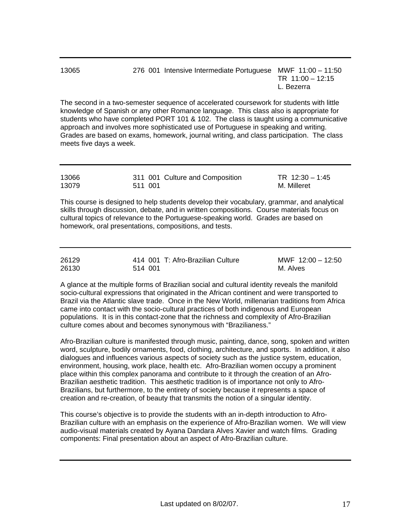| 13065 | 276 001 Intensive Intermediate Portuguese MWF 11:00 - 11:50 |                    |
|-------|-------------------------------------------------------------|--------------------|
|       |                                                             | TR $11:00 - 12:15$ |
|       |                                                             | L. Bezerra         |

The second in a two-semester sequence of accelerated coursework for students with little knowledge of Spanish or any other Romance language. This class also is appropriate for students who have completed PORT 101 & 102. The class is taught using a communicative approach and involves more sophisticated use of Portuguese in speaking and writing. Grades are based on exams, homework, journal writing, and class participation. The class meets five days a week.

| 13066 |         | 311 001 Culture and Composition | TR $12:30 - 1:45$ |
|-------|---------|---------------------------------|-------------------|
| 13079 | 511 001 |                                 | M. Milleret       |

This course is designed to help students develop their vocabulary, grammar, and analytical skills through discussion, debate, and in written compositions. Course materials focus on cultural topics of relevance to the Portuguese-speaking world. Grades are based on homework, oral presentations, compositions, and tests.

| 26129 | 414 001 T: Afro-Brazilian Culture | MWF $12:00 - 12:50$ |
|-------|-----------------------------------|---------------------|
| 26130 | 514 001                           | M. Alves            |

A glance at the multiple forms of Brazilian social and cultural identity reveals the manifold socio-cultural expressions that originated in the African continent and were transported to Brazil via the Atlantic slave trade. Once in the New World, millenarian traditions from Africa came into contact with the socio-cultural practices of both indigenous and European populations. It is in this contact-zone that the richness and complexity of Afro-Brazilian culture comes about and becomes synonymous with "Brazilianess."

Afro-Brazilian culture is manifested through music, painting, dance, song, spoken and written word, sculpture, bodily ornaments, food, clothing, architecture, and sports. In addition, it also dialogues and influences various aspects of society such as the justice system, education, environment, housing, work place, health etc. Afro-Brazilian women occupy a prominent place within this complex panorama and contribute to it through the creation of an Afro-Brazilian aesthetic tradition. This aesthetic tradition is of importance not only to Afro-Brazilians, but furthermore, to the entirety of society because it represents a space of creation and re-creation, of beauty that transmits the notion of a singular identity.

This course's objective is to provide the students with an in-depth introduction to Afro-Brazilian culture with an emphasis on the experience of Afro-Brazilian women. We will view audio-visual materials created by Ayana Dandara Alves Xavier and watch films. Grading components: Final presentation about an aspect of Afro-Brazilian culture.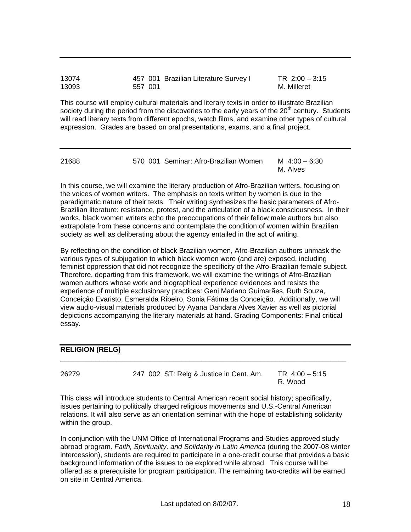| 13074 |         | 457 001 Brazilian Literature Survey I | TR $2:00 - 3:15$ |
|-------|---------|---------------------------------------|------------------|
| 13093 | 557 001 |                                       | M. Milleret      |

This course will employ cultural materials and literary texts in order to illustrate Brazilian society during the period from the discoveries to the early years of the  $20<sup>th</sup>$  century. Students will read literary texts from different epochs, watch films, and examine other types of cultural expression. Grades are based on oral presentations, exams, and a final project.

| 21688 | 570 001 Seminar: Afro-Brazilian Women | M $4:00 - 6:30$ |
|-------|---------------------------------------|-----------------|
|       |                                       | M. Alves        |

In this course, we will examine the literary production of Afro-Brazilian writers, focusing on the voices of women writers. The emphasis on texts written by women is due to the paradigmatic nature of their texts. Their writing synthesizes the basic parameters of Afro-Brazilian literature: resistance, protest, and the articulation of a black consciousness. In their works, black women writers echo the preoccupations of their fellow male authors but also extrapolate from these concerns and contemplate the condition of women within Brazilian society as well as deliberating about the agency entailed in the act of writing.

By reflecting on the condition of black Brazilian women, Afro-Brazilian authors unmask the various types of subjugation to which black women were (and are) exposed, including feminist oppression that did not recognize the specificity of the Afro-Brazilian female subject. Therefore, departing from this framework, we will examine the writings of Afro-Brazilian women authors whose work and biographical experience evidences and resists the experience of multiple exclusionary practices: Geni Mariano Guimarães, Ruth Souza, Conceição Evaristo, Esmeralda Ribeiro, Sonia Fátima da Conceição. Additionally, we will view audio-visual materials produced by Ayana Dandara Alves Xavier as well as pictorial depictions accompanying the literary materials at hand. Grading Components: Final critical essay.

#### **RELIGION (RELG)**

26279 247 002 ST: Relg & Justice in Cent. Am. TR 4:00 – 5:15 R. Wood

\_\_\_\_\_\_\_\_\_\_\_\_\_\_\_\_\_\_\_\_\_\_\_\_\_\_\_\_\_\_\_\_\_\_\_\_\_\_\_\_\_\_\_\_\_\_\_\_\_\_\_\_\_\_\_\_\_\_\_\_\_\_\_\_\_\_\_\_\_\_\_\_\_

This class will introduce students to Central American recent social history; specifically, issues pertaining to politically charged religious movements and U.S.-Central American relations. It will also serve as an orientation seminar with the hope of establishing solidarity within the group.

In conjunction with the UNM Office of International Programs and Studies approved study abroad program*, Faith, Spirituality, and Solidarity in Latin America* (during the 2007-08 winter intercession), students are required to participate in a one-credit course that provides a basic background information of the issues to be explored while abroad. This course will be offered as a prerequisite for program participation*.* The remaining two-credits will be earned on site in Central America.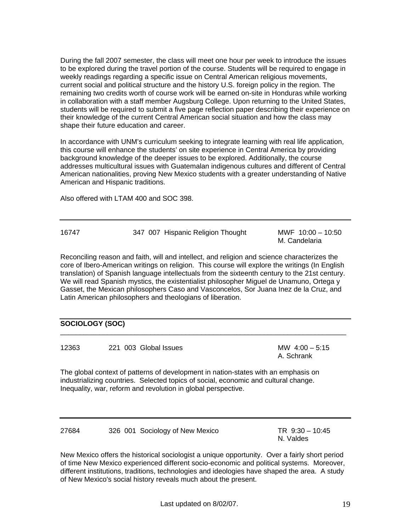During the fall 2007 semester, the class will meet one hour per week to introduce the issues to be explored during the travel portion of the course. Students will be required to engage in weekly readings regarding a specific issue on Central American religious movements, current social and political structure and the history U.S. foreign policy in the region. The remaining two credits worth of course work will be earned on-site in Honduras while working in collaboration with a staff member Augsburg College. Upon returning to the United States, students will be required to submit a five page reflection paper describing their experience on their knowledge of the current Central American social situation and how the class may shape their future education and career.

In accordance with UNM's curriculum seeking to integrate learning with real life application, this course will enhance the students' on site experience in Central America by providing background knowledge of the deeper issues to be explored. Additionally, the course addresses multicultural issues with Guatemalan indigenous cultures and different of Central American nationalities, proving New Mexico students with a greater understanding of Native American and Hispanic traditions.

Also offered with LTAM 400 and SOC 398.

| 16747 | 347 007 Hispanic Religion Thought | MWF 10:00 - 10:50 |
|-------|-----------------------------------|-------------------|
|       |                                   | M. Candelaria     |

Reconciling reason and faith, will and intellect, and religion and science characterizes the core of Ibero-American writings on religion. This course will explore the writings (In English translation) of Spanish language intellectuals from the sixteenth century to the 21st century. We will read Spanish mystics, the existentialist philosopher Miguel de Unamuno, Ortega y Gasset, the Mexican philosophers Caso and Vasconcelos, Sor Juana Inez de la Cruz, and Latin American philosophers and theologians of liberation.

 $\overline{\phantom{a}}$  ,  $\overline{\phantom{a}}$  ,  $\overline{\phantom{a}}$  ,  $\overline{\phantom{a}}$  ,  $\overline{\phantom{a}}$  ,  $\overline{\phantom{a}}$  ,  $\overline{\phantom{a}}$  ,  $\overline{\phantom{a}}$  ,  $\overline{\phantom{a}}$  ,  $\overline{\phantom{a}}$  ,  $\overline{\phantom{a}}$  ,  $\overline{\phantom{a}}$  ,  $\overline{\phantom{a}}$  ,  $\overline{\phantom{a}}$  ,  $\overline{\phantom{a}}$  ,  $\overline{\phantom{a}}$ 

#### **SOCIOLOGY (SOC)**

12363 221 003 Global Issues MW 4:00 – 5:15

A. Schrank

The global context of patterns of development in nation-states with an emphasis on industrializing countries. Selected topics of social, economic and cultural change. Inequality, war, reform and revolution in global perspective.

27684 326 001 Sociology of New Mexico TR 9:30 – 10:45

N. Valdes

New Mexico offers the historical sociologist a unique opportunity. Over a fairly short period of time New Mexico experienced different socio-economic and political systems. Moreover, different institutions, traditions, technologies and ideologies have shaped the area. A study of New Mexico's social history reveals much about the present.

Last updated on 8/02/07. 19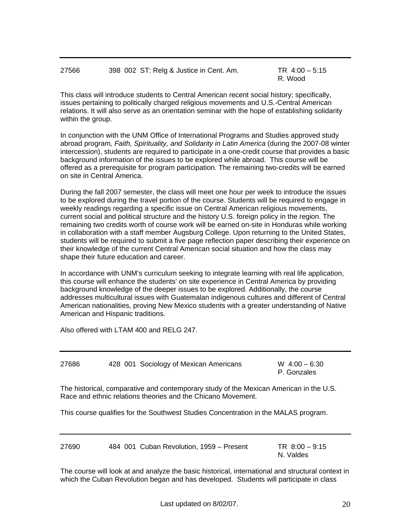| 27566 | 398 002 ST: Relg & Justice in Cent. Am. | TR $4:00 - 5:15$ |
|-------|-----------------------------------------|------------------|
|       |                                         | R. Wood          |

This class will introduce students to Central American recent social history; specifically, issues pertaining to politically charged religious movements and U.S.-Central American relations. It will also serve as an orientation seminar with the hope of establishing solidarity within the group.

In conjunction with the UNM Office of International Programs and Studies approved study abroad program*, Faith, Spirituality, and Solidarity in Latin America* (during the 2007-08 winter intercession), students are required to participate in a one-credit course that provides a basic background information of the issues to be explored while abroad. This course will be offered as a prerequisite for program participation*.* The remaining two-credits will be earned on site in Central America.

During the fall 2007 semester, the class will meet one hour per week to introduce the issues to be explored during the travel portion of the course. Students will be required to engage in weekly readings regarding a specific issue on Central American religious movements, current social and political structure and the history U.S. foreign policy in the region. The remaining two credits worth of course work will be earned on-site in Honduras while working in collaboration with a staff member Augsburg College. Upon returning to the United States, students will be required to submit a five page reflection paper describing their experience on their knowledge of the current Central American social situation and how the class may shape their future education and career.

In accordance with UNM's curriculum seeking to integrate learning with real life application, this course will enhance the students' on site experience in Central America by providing background knowledge of the deeper issues to be explored. Additionally, the course addresses multicultural issues with Guatemalan indigenous cultures and different of Central American nationalities, proving New Mexico students with a greater understanding of Native American and Hispanic traditions.

Also offered with LTAM 400 and RELG 247.

27686 428 001 Sociology of Mexican Americans W 4:00 – 6:30

P. Gonzales

The historical, comparative and contemporary study of the Mexican American in the U.S. Race and ethnic relations theories and the Chicano Movement.

This course qualifies for the Southwest Studies Concentration in the MALAS program.

27690 484 001 Cuban Revolution, 1959 – Present TR 8:00 – 9:15

N. Valdes

The course will look at and analyze the basic historical, international and structural context in which the Cuban Revolution began and has developed. Students will participate in class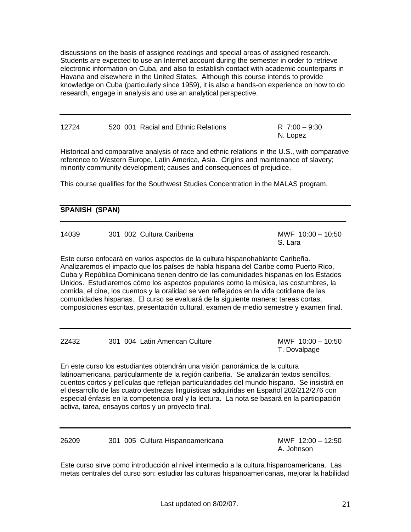discussions on the basis of assigned readings and special areas of assigned research. Students are expected to use an Internet account during the semester in order to retrieve electronic information on Cuba, and also to establish contact with academic counterparts in Havana and elsewhere in the United States. Although this course intends to provide knowledge on Cuba (particularly since 1959), it is also a hands-on experience on how to do research, engage in analysis and use an analytical perspective.

| 12724 | 520 001 Racial and Ethnic Relations | R 7:00 - 9:30 |
|-------|-------------------------------------|---------------|
|       |                                     | N. Lopez      |

Historical and comparative analysis of race and ethnic relations in the U.S., with comparative reference to Western Europe, Latin America, Asia. Origins and maintenance of slavery; minority community development; causes and consequences of prejudice.

This course qualifies for the Southwest Studies Concentration in the MALAS program.

| <b>SPANISH (SPAN)</b> |  |  |  |  |
|-----------------------|--|--|--|--|
|                       |  |  |  |  |

| 14039 | 301 002 Cultura Caribena | MWF 10:00 - 10:50<br>S. Lara |
|-------|--------------------------|------------------------------|
|       |                          |                              |

Este curso enfocará en varios aspectos de la cultura hispanohablante Caribeña. Analizaremos el impacto que los países de habla hispana del Caribe como Puerto Rico, Cuba y República Dominicana tienen dentro de las comunidades hispanas en los Estados Unidos. Estudiaremos cómo los aspectos populares como la música, las costumbres, la comida, el cine, los cuentos y la oralidad se ven reflejados en la vida cotidiana de las comunidades hispanas. El curso se evaluará de la siguiente manera: tareas cortas, composiciones escritas, presentación cultural, examen de medio semestre y examen final.

22432 301 004 Latin American Culture MWF 10:00 – 10:50 T. Dovalpage

En este curso los estudiantes obtendrán una visión panorámica de la cultura latinoamericana, particularmente de la región caribeña. Se analizarán textos sencillos, cuentos cortos y películas que reflejan particularidades del mundo hispano. Se insistirá en el desarrollo de las cuatro destrezas lingüísticas adquiridas en Español 202/212/276 con especial énfasis en la competencia oral y la lectura. La nota se basará en la participación activa, tarea, ensayos cortos y un proyecto final.

26209 301 005 Cultura Hispanoamericana MWF 12:00 – 12:50 A. Johnson

Este curso sirve como introducción al nivel intermedio a la cultura hispanoamericana. Las metas centrales del curso son: estudiar las culturas hispanoamericanas, mejorar la habilidad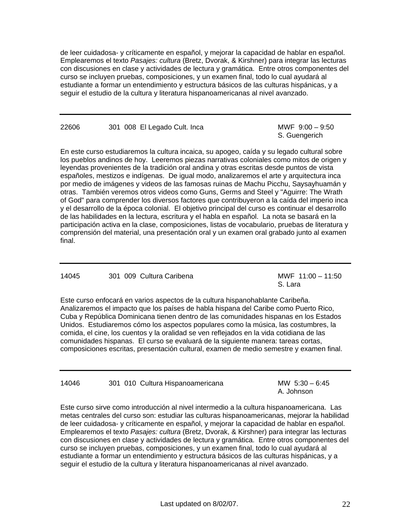de leer cuidadosa- y críticamente en español, y mejorar la capacidad de hablar en español. Emplearemos el texto *Pasajes: cultura* (Bretz, Dvorak, & Kirshner) para integrar las lecturas con discusiones en clase y actividades de lectura y gramática. Entre otros componentes del curso se incluyen pruebas, composiciones, y un examen final, todo lo cual ayudará al estudiante a formar un entendimiento y estructura básicos de las culturas hispánicas, y a seguir el estudio de la cultura y literatura hispanoamericanas al nivel avanzado.

22606 301 008 El Legado Cult. Inca MWF 9:00 – 9:50

S. Guengerich

En este curso estudiaremos la cultura incaica, su apogeo, caída y su legado cultural sobre los pueblos andinos de hoy. Leeremos piezas narrativas coloniales como mitos de origen y leyendas provenientes de la tradición oral andina y otras escritas desde puntos de vista españoles, mestizos e indígenas. De igual modo, analizaremos el arte y arquitectura inca por medio de imágenes y videos de las famosas ruinas de Machu Picchu, Saysayhuamán y otras. También veremos otros videos como Guns, Germs and Steel y "Aguirre: The Wrath of God" para comprender los diversos factores que contribuyeron a la caída del imperio inca y el desarrollo de la época colonial. El objetivo principal del curso es continuar el desarrollo de las habilidades en la lectura, escritura y el habla en español. La nota se basará en la participación activa en la clase, composiciones, listas de vocabulario, pruebas de literatura y comprensión del material, una presentación oral y un examen oral grabado junto al examen final.

#### 14045 301 009 Cultura Caribena MWF 11:00 – 11:50

S. Lara and the contract of the contract of the contract of the contract of the contract of the contract of th

Este curso enfocará en varios aspectos de la cultura hispanohablante Caribeña. Analizaremos el impacto que los países de habla hispana del Caribe como Puerto Rico, Cuba y República Dominicana tienen dentro de las comunidades hispanas en los Estados Unidos. Estudiaremos cómo los aspectos populares como la música, las costumbres, la comida, el cine, los cuentos y la oralidad se ven reflejados en la vida cotidiana de las comunidades hispanas. El curso se evaluará de la siguiente manera: tareas cortas, composiciones escritas, presentación cultural, examen de medio semestre y examen final.

14046 301 010 Cultura Hispanoamericana MW 5:30 – 6:45

A. Johnson

Este curso sirve como introducción al nivel intermedio a la cultura hispanoamericana. Las metas centrales del curso son: estudiar las culturas hispanoamericanas, mejorar la habilidad de leer cuidadosa- y críticamente en español, y mejorar la capacidad de hablar en español. Emplearemos el texto *Pasajes: cultura* (Bretz, Dvorak, & Kirshner) para integrar las lecturas con discusiones en clase y actividades de lectura y gramática. Entre otros componentes del curso se incluyen pruebas, composiciones, y un examen final, todo lo cual ayudará al estudiante a formar un entendimiento y estructura básicos de las culturas hispánicas, y a seguir el estudio de la cultura y literatura hispanoamericanas al nivel avanzado.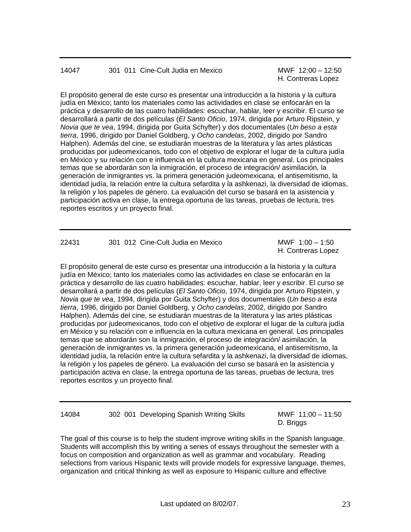## 14047 301 011 Cine-Cult Judia en Mexico MWF 12:00 – 12:50

H. Contreras Lopez

El propósito general de este curso es presentar una introducción a la historia y la cultura judía en México; tanto los materiales como las actividades en clase se enfocarán en la práctica y desarrollo de las cuatro habilidades: escuchar, hablar, leer y escribir. El curso se desarrollará a partir de dos películas (*El Santo Oficio*, 1974, dirigida por Arturo Ripstein, y *Novia que te vea*, 1994, dirigida por Guita Schyfter) y dos documentales (*Un beso a esta tierra*, 1996, dirigido por Daniel Goldberg, y *Ocho candelas*, 2002, dirigido por Sandro Halphen). Además del cine, se estudiarán muestras de la literatura y las artes plásticas producidas por judeomexicanos, todo con el objetivo de explorar el lugar de la cultura judía en México y su relación con e influencia en la cultura mexicana en general. Los principales temas que se abordarán son la inmigración, el proceso de integración/ asimilación, la generación de inmigrantes vs. la primera generación judeomexicana, el antisemitismo, la identidad judía, la relación entre la cultura sefardita y la ashkenazi, la diversidad de idiomas, la religión y los papeles de género. La evaluación del curso se basará en la asistencia y participación activa en clase, la entrega oportuna de las tareas, pruebas de lectura, tres reportes escritos y un proyecto final.

| 22431 | 301 012 Cine-Cult Judia en Mexico | MWF $1:00 - 1:50$  |
|-------|-----------------------------------|--------------------|
|       |                                   | H. Contreras Lopez |

El propósito general de este curso es presentar una introducción a la historia y la cultura judía en México; tanto los materiales como las actividades en clase se enfocarán en la práctica y desarrollo de las cuatro habilidades: escuchar, hablar, leer y escribir. El curso se desarrollará a partir de dos películas (*El Santo Oficio*, 1974, dirigida por Arturo Ripstein, y *Novia que te vea*, 1994, dirigida por Guita Schyfter) y dos documentales (*Un beso a esta tierra*, 1996, dirigido por Daniel Goldberg, y *Ocho candelas*, 2002, dirigido por Sandro Halphen). Además del cine, se estudiarán muestras de la literatura y las artes plásticas producidas por judeomexicanos, todo con el objetivo de explorar el lugar de la cultura judía en México y su relación con e influencia en la cultura mexicana en general. Los principales temas que se abordarán son la inmigración, el proceso de integración/ asimilación, la generación de inmigrantes vs. la primera generación judeomexicana, el antisemitismo, la identidad judía, la relación entre la cultura sefardita y la ashkenazi, la diversidad de idiomas, la religión y los papeles de género. La evaluación del curso se basará en la asistencia y participación activa en clase, la entrega oportuna de las tareas, pruebas de lectura, tres reportes escritos y un proyecto final.

| 14084 | 302 001 Developing Spanish Writing Skills |  |
|-------|-------------------------------------------|--|

MWF 11:00 - 11:50 D. Briggs

The goal of this course is to help the student improve writing skills in the Spanish language. Students will accomplish this by writing a series of essays throughout the semester with a focus on composition and organization as well as grammar and vocabulary. Reading selections from various Hispanic texts will provide models for expressive language, themes, organization and critical thinking as well as exposure to Hispanic culture and effective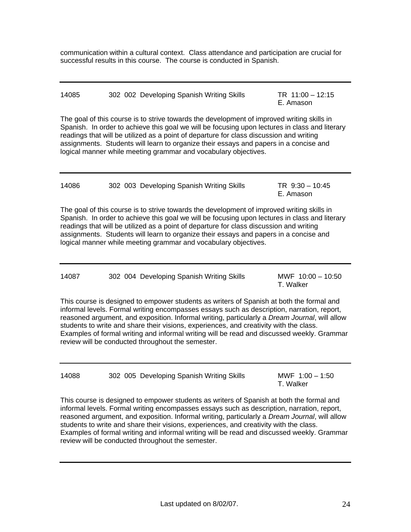communication within a cultural context. Class attendance and participation are crucial for successful results in this course. The course is conducted in Spanish.

| 14085 | 302 002 Developing Spanish Writing Skills | TR $11:00 - 12:15$ |
|-------|-------------------------------------------|--------------------|
|       |                                           | E. Amason          |

The goal of this course is to strive towards the development of improved writing skills in Spanish. In order to achieve this goal we will be focusing upon lectures in class and literary readings that will be utilized as a point of departure for class discussion and writing assignments. Students will learn to organize their essays and papers in a concise and logical manner while meeting grammar and vocabulary objectives.

| 14086 | 302 003 Developing Spanish Writing Skills | TR 9:30 - 10:45 |
|-------|-------------------------------------------|-----------------|
|       |                                           | E Amason        |

The goal of this course is to strive towards the development of improved writing skills in Spanish. In order to achieve this goal we will be focusing upon lectures in class and literary readings that will be utilized as a point of departure for class discussion and writing assignments. Students will learn to organize their essays and papers in a concise and logical manner while meeting grammar and vocabulary objectives.

| 14087 | 302 004 Developing Spanish Writing Skills |           | MWF $10:00 - 10:50$ |
|-------|-------------------------------------------|-----------|---------------------|
|       |                                           | T. Walker |                     |

This course is designed to empower students as writers of Spanish at both the formal and informal levels. Formal writing encompasses essays such as description, narration, report, reasoned argument, and exposition. Informal writing, particularly a *Dream Journal*, will allow students to write and share their visions, experiences, and creativity with the class. Examples of formal writing and informal writing will be read and discussed weekly. Grammar review will be conducted throughout the semester.

14088 302 005 Developing Spanish Writing Skills MWF 1:00 – 1:50

T. Walker

This course is designed to empower students as writers of Spanish at both the formal and informal levels. Formal writing encompasses essays such as description, narration, report, reasoned argument, and exposition. Informal writing, particularly a *Dream Journal*, will allow students to write and share their visions, experiences, and creativity with the class. Examples of formal writing and informal writing will be read and discussed weekly. Grammar review will be conducted throughout the semester.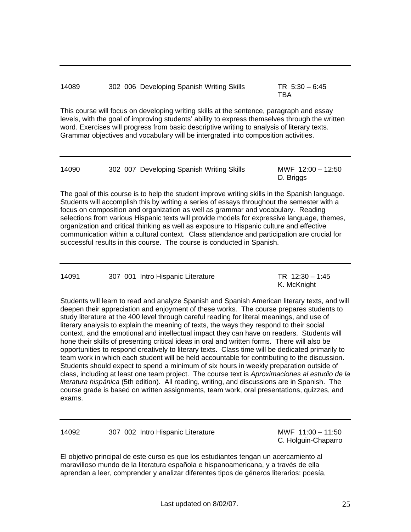14089 302 006 Developing Spanish Writing Skills TR 5:30 – 6:45

the contract of the contract of the contract of the contract of the contract of the contract of the contract o

This course will focus on developing writing skills at the sentence, paragraph and essay levels, with the goal of improving students' ability to express themselves through the written word. Exercises will progress from basic descriptive writing to analysis of literary texts. Grammar objectives and vocabulary will be intergrated into composition activities.

| 14090 | 302 007 Developing Spanish Writing Skills |           | MWF 12:00 - 12:50 |
|-------|-------------------------------------------|-----------|-------------------|
|       |                                           | D. Briggs |                   |

The goal of this course is to help the student improve writing skills in the Spanish language. Students will accomplish this by writing a series of essays throughout the semester with a focus on composition and organization as well as grammar and vocabulary. Reading selections from various Hispanic texts will provide models for expressive language, themes, organization and critical thinking as well as exposure to Hispanic culture and effective communication within a cultural context. Class attendance and participation are crucial for successful results in this course. The course is conducted in Spanish.

14091 307 001 Intro Hispanic Literature TR 12:30 – 1:45

K. McKnight

Students will learn to read and analyze Spanish and Spanish American literary texts, and will deepen their appreciation and enjoyment of these works. The course prepares students to study literature at the 400 level through careful reading for literal meanings, and use of literary analysis to explain the meaning of texts, the ways they respond to their social context, and the emotional and intellectual impact they can have on readers. Students will hone their skills of presenting critical ideas in oral and written forms. There will also be opportunities to respond creatively to literary texts. Class time will be dedicated primarily to team work in which each student will be held accountable for contributing to the discussion. Students should expect to spend a minimum of six hours in weekly preparation outside of class, including at least one team project. The course text is *Aproximaciones al estudio de la literatura hispánica* (5th edition). All reading, writing, and discussions are in Spanish. The course grade is based on written assignments, team work, oral presentations, quizzes, and exams.

14092 307 002 Intro Hispanic Literature MWF 11:00 – 11:50

C. Holguin-Chaparro

El objetivo principal de este curso es que los estudiantes tengan un acercamiento al maravilloso mundo de la literatura española e hispanoamericana, y a través de ella aprendan a leer, comprender y analizar diferentes tipos de géneros literarios: poesía,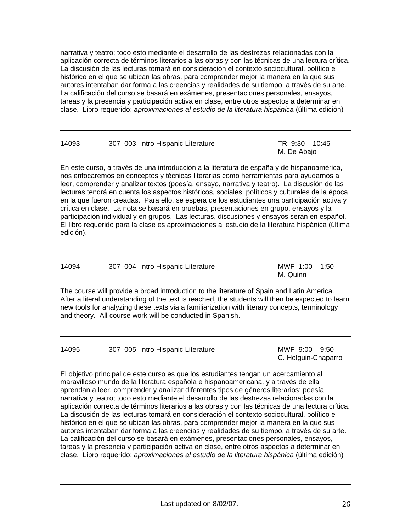narrativa y teatro; todo esto mediante el desarrollo de las destrezas relacionadas con la aplicación correcta de términos literarios a las obras y con las técnicas de una lectura crítica. La discusión de las lecturas tomará en consideración el contexto sociocultural, político e histórico en el que se ubican las obras, para comprender mejor la manera en la que sus autores intentaban dar forma a las creencias y realidades de su tiempo, a través de su arte. La calificación del curso se basará en exámenes, presentaciones personales, ensayos, tareas y la presencia y participación activa en clase, entre otros aspectos a determinar en clase. Libro requerido: *aproximaciones al estudio de la literatura hispánica* (última edición)

| 14093 | 307 003 Intro Hispanic Literature | TR $9:30 - 10:45$ |
|-------|-----------------------------------|-------------------|
|       |                                   | M. De Abajo       |

En este curso, a través de una introducción a la literatura de españa y de hispanoamérica, nos enfocaremos en conceptos y técnicas literarias como herramientas para ayudarnos a leer, comprender y analizar textos (poesía, ensayo, narrativa y teatro). La discusión de las lecturas tendrá en cuenta los aspectos históricos, sociales, políticos y culturales de la época en la que fueron creadas. Para ello, se espera de los estudiantes una participación activa y crítica en clase. La nota se basará en pruebas, presentaciones en grupo, ensayos y la participación individual y en grupos. Las lecturas, discusiones y ensayos serán en español. El libro requerido para la clase es aproximaciones al estudio de la literatura hispánica (última edición).

14094 307 004 Intro Hispanic Literature MWF 1:00 – 1:50

M. Quinn

The course will provide a broad introduction to the literature of Spain and Latin America. After a literal understanding of the text is reached, the students will then be expected to learn new tools for analyzing these texts via a familiarization with literary concepts, terminology and theory. All course work will be conducted in Spanish.

14095 307 005 Intro Hispanic Literature MWF 9:00 – 9:50

C. Holguin-Chaparro

El objetivo principal de este curso es que los estudiantes tengan un acercamiento al maravilloso mundo de la literatura española e hispanoamericana, y a través de ella aprendan a leer, comprender y analizar diferentes tipos de géneros literarios: poesía, narrativa y teatro; todo esto mediante el desarrollo de las destrezas relacionadas con la aplicación correcta de términos literarios a las obras y con las técnicas de una lectura crítica. La discusión de las lecturas tomará en consideración el contexto sociocultural, político e histórico en el que se ubican las obras, para comprender mejor la manera en la que sus autores intentaban dar forma a las creencias y realidades de su tiempo, a través de su arte. La calificación del curso se basará en exámenes, presentaciones personales, ensayos, tareas y la presencia y participación activa en clase, entre otros aspectos a determinar en clase. Libro requerido: *aproximaciones al estudio de la literatura hispánica* (última edición)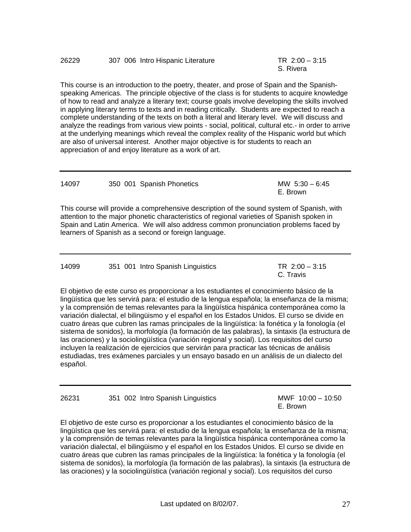#### 26229 307 006 Intro Hispanic Literature TR 2:00 – 3:15

This course is an introduction to the poetry, theater, and prose of Spain and the Spanishspeaking Americas. The principle objective of the class is for students to acquire knowledge of how to read and analyze a literary text; course goals involve developing the skills involved in applying literary terms to texts and in reading critically. Students are expected to reach a complete understanding of the texts on both a literal and literary level. We will discuss and analyze the readings from various view points - social, political, cultural etc.- in order to arrive at the underlying meanings which reveal the complex reality of the Hispanic world but which are also of universal interest. Another major objective is for students to reach an appreciation of and enjoy literature as a work of art.

| 14097 | 350 001 Spanish Phonetics | MW $5:30 - 6:45$ |
|-------|---------------------------|------------------|
|       |                           | E. Brown         |

This course will provide a comprehensive description of the sound system of Spanish, with attention to the major phonetic characteristics of regional varieties of Spanish spoken in Spain and Latin America. We will also address common pronunciation problems faced by learners of Spanish as a second or foreign language.

| 14099 | 351 001 Intro Spanish Linguistics |           | TR $2:00 - 3:15$ |
|-------|-----------------------------------|-----------|------------------|
|       |                                   | C. Travis |                  |

El objetivo de este curso es proporcionar a los estudiantes el conocimiento básico de la lingüística que les servirá para: el estudio de la lengua española; la enseñanza de la misma; y la comprensión de temas relevantes para la lingüística hispánica contemporánea como la variación dialectal, el bilingüismo y el español en los Estados Unidos. El curso se divide en cuatro áreas que cubren las ramas principales de la lingüística: la fonética y la fonología (el sistema de sonidos), la morfología (la formación de las palabras), la sintaxis (la estructura de las oraciones) y la sociolingüística (variación regional y social). Los requisitos del curso incluyen la realización de ejercicios que servirán para practicar las técnicas de análisis estudiadas, tres exámenes parciales y un ensayo basado en un análisis de un dialecto del español.

26231 351 002 Intro Spanish Linguistics MWF 10:00 – 10:50

E. Brown

El objetivo de este curso es proporcionar a los estudiantes el conocimiento básico de la lingüística que les servirá para: el estudio de la lengua española; la enseñanza de la misma; y la comprensión de temas relevantes para la lingüística hispánica contemporánea como la variación dialectal, el bilingüismo y el español en los Estados Unidos. El curso se divide en cuatro áreas que cubren las ramas principales de la lingüística: la fonética y la fonología (el sistema de sonidos), la morfología (la formación de las palabras), la sintaxis (la estructura de las oraciones) y la sociolingüística (variación regional y social). Los requisitos del curso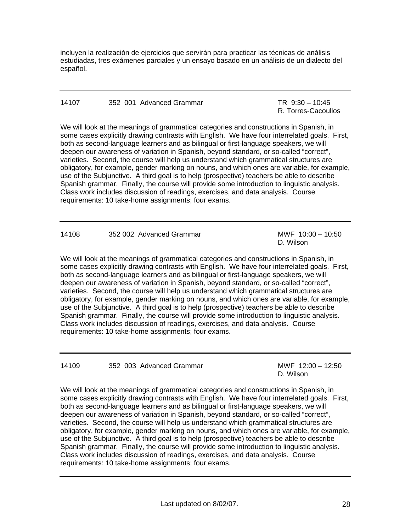incluyen la realización de ejercicios que servirán para practicar las técnicas de análisis estudiadas, tres exámenes parciales y un ensayo basado en un análisis de un dialecto del español.

#### 14107 352 001 Advanced Grammar TR 9:30 – 10:45

R. Torres-Cacoullos

We will look at the meanings of grammatical categories and constructions in Spanish, in some cases explicitly drawing contrasts with English. We have four interrelated goals. First, both as second-language learners and as bilingual or first-language speakers, we will deepen our awareness of variation in Spanish, beyond standard, or so-called "correct", varieties. Second, the course will help us understand which grammatical structures are obligatory, for example, gender marking on nouns, and which ones are variable, for example, use of the Subjunctive. A third goal is to help (prospective) teachers be able to describe Spanish grammar. Finally, the course will provide some introduction to linguistic analysis. Class work includes discussion of readings, exercises, and data analysis. Course requirements: 10 take-home assignments; four exams.

| 14108 | 352 002 Advanced Grammar | МW |
|-------|--------------------------|----|
|       |                          |    |

 $F 10:00 - 10:50$ D. Wilson

We will look at the meanings of grammatical categories and constructions in Spanish, in some cases explicitly drawing contrasts with English. We have four interrelated goals. First, both as second-language learners and as bilingual or first-language speakers, we will deepen our awareness of variation in Spanish, beyond standard, or so-called "correct", varieties. Second, the course will help us understand which grammatical structures are obligatory, for example, gender marking on nouns, and which ones are variable, for example, use of the Subjunctive. A third goal is to help (prospective) teachers be able to describe Spanish grammar. Finally, the course will provide some introduction to linguistic analysis. Class work includes discussion of readings, exercises, and data analysis. Course requirements: 10 take-home assignments; four exams.

14109 352 003 Advanced Grammar MWF 12:00 – 12:50

D. Wilson

We will look at the meanings of grammatical categories and constructions in Spanish, in some cases explicitly drawing contrasts with English. We have four interrelated goals. First, both as second-language learners and as bilingual or first-language speakers, we will deepen our awareness of variation in Spanish, beyond standard, or so-called "correct", varieties. Second, the course will help us understand which grammatical structures are obligatory, for example, gender marking on nouns, and which ones are variable, for example, use of the Subjunctive. A third goal is to help (prospective) teachers be able to describe Spanish grammar. Finally, the course will provide some introduction to linguistic analysis. Class work includes discussion of readings, exercises, and data analysis. Course requirements: 10 take-home assignments; four exams.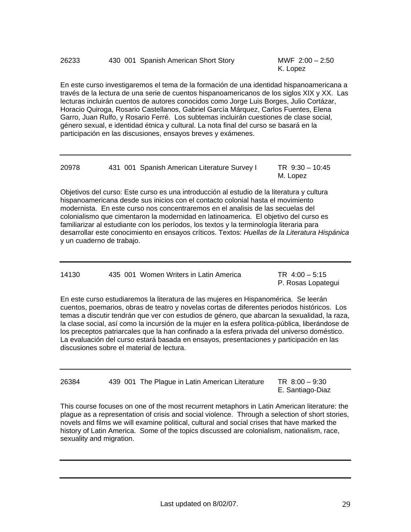En este curso investigaremos el tema de la formación de una identidad hispanoamericana a través de la lectura de una serie de cuentos hispanoamericanos de los siglos XIX y XX. Las lecturas incluirán cuentos de autores conocidos como Jorge Luis Borges, Julio Cortázar, Horacio Quiroga, Rosario Castellanos, Gabriel García Márquez, Carlos Fuentes, Elena Garro, Juan Rulfo, y Rosario Ferré. Los subtemas incluirán cuestiones de clase social, género sexual, e identidad étnica y cultural. La nota final del curso se basará en la participación en las discusiones, ensayos breves y exámenes.

| 20978 |  | 431 001 Spanish American Literature Survey I |          | TR $9:30 - 10:45$ |
|-------|--|----------------------------------------------|----------|-------------------|
|       |  |                                              | M. Lopez |                   |

Objetivos del curso: Este curso es una introducción al estudio de la literatura y cultura hispanoamericana desde sus inicios con el contacto colonial hasta el movimiento modernista. En este curso nos concentraremos en el analisis de las secuelas del colonialismo que cimentaron la modernidad en latinoamerica. El objetivo del curso es familiarizar al estudiante con los períodos, los textos y la terminología literaria para desarrollar este conocimiento en ensayos críticos. Textos: *Huellas de la Literatura Hispánica* y un cuaderno de trabajo.

| 14130 | 435 001 Women Writers in Latin America | $TR 4:00 - 5:15$ |
|-------|----------------------------------------|------------------|
|-------|----------------------------------------|------------------|

P. Rosas Lopategui

En este curso estudiaremos la literatura de las mujeres en Hispanomérica. Se leerán cuentos, poemarios, obras de teatro y novelas cortas de diferentes periodos históricos. Los temas a discutir tendrán que ver con estudios de género, que abarcan la sexualidad, la raza, la clase social, así como la incursión de la mujer en la esfera política-pública, liberándose de los preceptos patriarcales que la han confinado a la esfera privada del universo doméstico. La evaluación del curso estará basada en ensayos, presentaciones y participación en las discusiones sobre el material de lectura.

26384 439 001 The Plague in Latin American Literature TR 8:00 – 9:30 E. Santiago-Diaz

This course focuses on one of the most recurrent metaphors in Latin American literature: the plague as a representation of crisis and social violence. Through a selection of short stories, novels and films we will examine political, cultural and social crises that have marked the history of Latin America. Some of the topics discussed are colonialism, nationalism, race, sexuality and migration.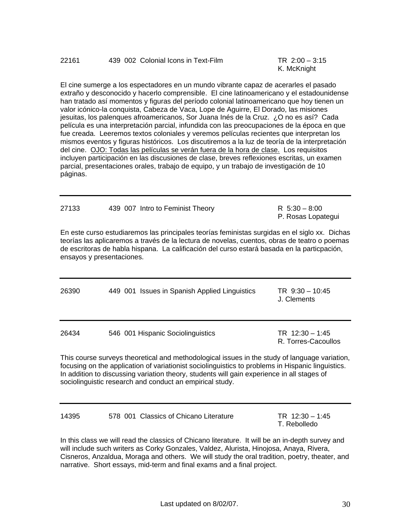El cine sumerge a los espectadores en un mundo vibrante capaz de acerarles el pasado extraño y desconocido y hacerlo comprensible. El cine latinoamericano y el estadounidense han tratado así momentos y figuras del período colonial latinoamericano que hoy tienen un valor icónico-la conquista, Cabeza de Vaca, Lope de Aguirre, El Dorado, las misiones jesuitas, los palenques afroamericanos, Sor Juana Inés de la Cruz. ¿O no es así? Cada película es una interpretación parcial, infundida con las preocupaciones de la época en que fue creada. Leeremos textos coloniales y veremos películas recientes que interpretan los mismos eventos y figuras históricos. Los discutiremos a la luz de teoría de la interpretación del cine. OJO: Todas las películas se verán fuera de la hora de clase. Los requisitos incluyen participación en las discusiones de clase, breves reflexiones escritas, un examen parcial, presentaciones orales, trabajo de equipo, y un trabajo de investigación de 10 páginas.

| 27133 | 439 007 Intro to Feminist Theory                                                                                                                                                            | R $5:30 - 8:00$<br>P. Rosas Lopategui |
|-------|---------------------------------------------------------------------------------------------------------------------------------------------------------------------------------------------|---------------------------------------|
|       | En este curso estudiaremos las principales teorías feministas surgidas en el siglo xx. Dichas<br>tentias las anticaremos a través de la lectura de novelas cuentos obras de teatro o noemas |                                       |

teorías las aplicaremos a través de la lectura de novelas, cuentos, obras de teatro o poemas de escritoras de habla hispana. La calificación del curso estará basada en la particpación, ensayos y presentaciones.

| 26390                                                                                                                                                                                              | 449 001 Issues in Spanish Applied Linguistics | TR $9:30 - 10:45$<br>J. Clements         |  |  |
|----------------------------------------------------------------------------------------------------------------------------------------------------------------------------------------------------|-----------------------------------------------|------------------------------------------|--|--|
| 26434                                                                                                                                                                                              | 546 001 Hispanic Sociolinguistics             | TR $12:30 - 1:45$<br>R. Torres-Cacoullos |  |  |
| This course surveys theoretical and methodological issues in the study of language variation,<br>focusing on the application of variationist sociolinguistics to problems in Hispanic linguistics. |                                               |                                          |  |  |

In addition to discussing variation theory, students will gain experience in all stages of sociolinguistic research and conduct an empirical study.

| 14395                                  | TR $12:30 - 1:45$ |
|----------------------------------------|-------------------|
| 578 001 Classics of Chicano Literature | T. Rebolledo      |

In this class we will read the classics of Chicano literature. It will be an in-depth survey and will include such writers as Corky Gonzales, Valdez, Alurista, Hinojosa, Anaya, Rivera, Cisneros, Anzaldua, Moraga and others. We will study the oral tradition, poetry, theater, and narrative. Short essays, mid-term and final exams and a final project.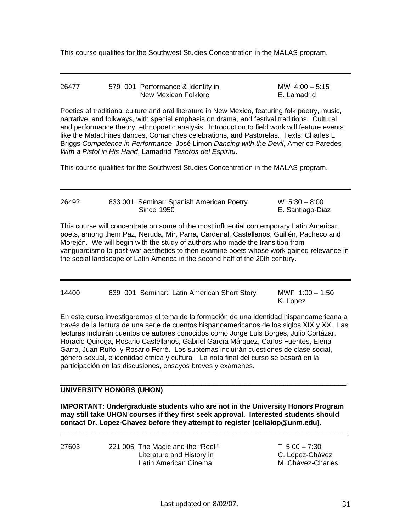This course qualifies for the Southwest Studies Concentration in the MALAS program.

| 26477 | 579 001 Performance & Identity in | MW $4:00-5:15$ |
|-------|-----------------------------------|----------------|
|       | New Mexican Folklore              | E. Lamadrid    |

Poetics of traditional culture and oral literature in New Mexico, featuring folk poetry, music, narrative, and folkways, with special emphasis on drama, and festival traditions. Cultural and performance theory, ethnopoetic analysis. Introduction to field work will feature events like the Matachines dances, Comanches celebrations, and Pastorelas. Texts: Charles L. Briggs *Competence in Performance*, José Limon *Dancing with the Devil*, Americo Paredes *With a Pistol in His Hand*, Lamadrid *Tesoros del Espiritu*.

This course qualifies for the Southwest Studies Concentration in the MALAS program.

| 26492 | 633 001 Seminar: Spanish American Poetry | $W$ 5:30 $-$ 8:00 |  |
|-------|------------------------------------------|-------------------|--|
|       | Since 1950                               | E. Santiago-Diaz  |  |

This course will concentrate on some of the most influential contemporary Latin American poets, among them Paz, Neruda, Mir, Parra, Cardenal, Castellanos, Guillén, Pacheco and Morejón. We will begin with the study of authors who made the transition from vanguardismo to post-war aesthetics to then examine poets whose work gained relevance in the social landscape of Latin America in the second half of the 20th century.

| 14400 |  | 639 001 Seminar: Latin American Short Story | MWF $1:00 - 1:50$<br>K. Lopez |
|-------|--|---------------------------------------------|-------------------------------|
|       |  |                                             |                               |

En este curso investigaremos el tema de la formación de una identidad hispanoamericana a través de la lectura de una serie de cuentos hispanoamericanos de los siglos XIX y XX. Las lecturas incluirán cuentos de autores conocidos como Jorge Luis Borges, Julio Cortázar, Horacio Quiroga, Rosario Castellanos, Gabriel García Márquez, Carlos Fuentes, Elena Garro, Juan Rulfo, y Rosario Ferré. Los subtemas incluirán cuestiones de clase social, género sexual, e identidad étnica y cultural. La nota final del curso se basará en la participación en las discusiones, ensayos breves y exámenes.

### **UNIVERSITY HONORS (UHON)**

**IMPORTANT: Undergraduate students who are not in the University Honors Program may still take UHON courses if they first seek approval. Interested students should contact Dr. Lopez-Chavez before they attempt to register (celialop@unm.edu).** 

 $\overline{\phantom{a}}$  ,  $\overline{\phantom{a}}$  ,  $\overline{\phantom{a}}$  ,  $\overline{\phantom{a}}$  ,  $\overline{\phantom{a}}$  ,  $\overline{\phantom{a}}$  ,  $\overline{\phantom{a}}$  ,  $\overline{\phantom{a}}$  ,  $\overline{\phantom{a}}$  ,  $\overline{\phantom{a}}$  ,  $\overline{\phantom{a}}$  ,  $\overline{\phantom{a}}$  ,  $\overline{\phantom{a}}$  ,  $\overline{\phantom{a}}$  ,  $\overline{\phantom{a}}$  ,  $\overline{\phantom{a}}$ 

 $\overline{\phantom{a}}$  ,  $\overline{\phantom{a}}$  ,  $\overline{\phantom{a}}$  ,  $\overline{\phantom{a}}$  ,  $\overline{\phantom{a}}$  ,  $\overline{\phantom{a}}$  ,  $\overline{\phantom{a}}$  ,  $\overline{\phantom{a}}$  ,  $\overline{\phantom{a}}$  ,  $\overline{\phantom{a}}$  ,  $\overline{\phantom{a}}$  ,  $\overline{\phantom{a}}$  ,  $\overline{\phantom{a}}$  ,  $\overline{\phantom{a}}$  ,  $\overline{\phantom{a}}$  ,  $\overline{\phantom{a}}$ 

27603 221 005 The Magic and the "Reel:" T 5:00 – 7:30 Literature and History in C. López-Chávez Latin American Cinema<br>
M. Chávez-Charles